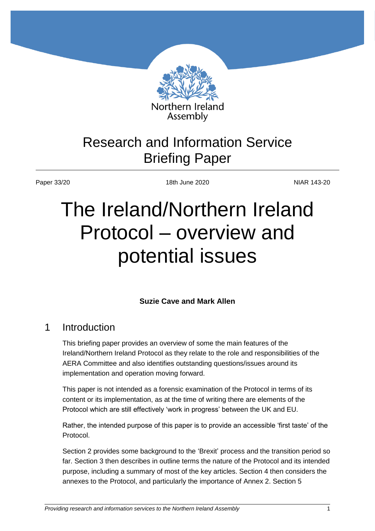

## Research and Information Service Briefing Paper

Paper 33/20 18th June 2020 18th June 2020

# The Ireland/Northern Ireland Protocol – overview and potential issues

## **Suzie Cave and Mark Allen**

## 1 Introduction

This briefing paper provides an overview of some the main features of the Ireland/Northern Ireland Protocol as they relate to the role and responsibilities of the AERA Committee and also identifies outstanding questions/issues around its implementation and operation moving forward.

This paper is not intended as a forensic examination of the Protocol in terms of its content or its implementation, as at the time of writing there are elements of the Protocol which are still effectively 'work in progress' between the UK and EU.

Rather, the intended purpose of this paper is to provide an accessible 'first taste' of the Protocol.

Section 2 provides some background to the 'Brexit' process and the transition period so far. Section 3 then describes in outline terms the nature of the Protocol and its intended purpose, including a summary of most of the key articles. Section 4 then considers the annexes to the Protocol, and particularly the importance of Annex 2. Section 5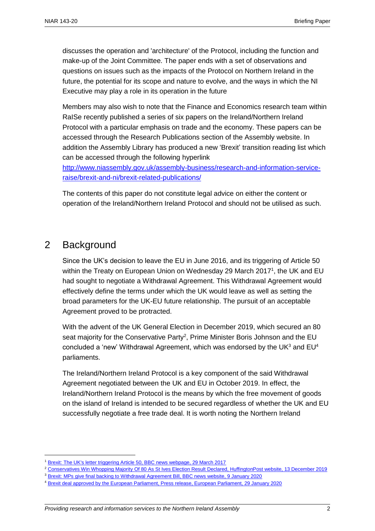discusses the operation and 'architecture' of the Protocol, including the function and make-up of the Joint Committee. The paper ends with a set of observations and questions on issues such as the impacts of the Protocol on Northern Ireland in the future, the potential for its scope and nature to evolve, and the ways in which the NI Executive may play a role in its operation in the future

Members may also wish to note that the Finance and Economics research team within RaISe recently published a series of six papers on the Ireland/Northern Ireland Protocol with a particular emphasis on trade and the economy. These papers can be accessed through the Research Publications section of the Assembly website. In addition the Assembly Library has produced a new 'Brexit' transition reading list which can be accessed through the following hyperlink

[http://www.niassembly.gov.uk/assembly-business/research-and-information-service](http://www.niassembly.gov.uk/assembly-business/research-and-information-service-raise/brexit-and-ni/brexit-related-publications/)[raise/brexit-and-ni/brexit-related-publications/](http://www.niassembly.gov.uk/assembly-business/research-and-information-service-raise/brexit-and-ni/brexit-related-publications/)

The contents of this paper do not constitute legal advice on either the content or operation of the Ireland/Northern Ireland Protocol and should not be utilised as such.

## 2 Background

 $\overline{a}$ 

Since the UK's decision to leave the EU in June 2016, and its triggering of Article 50 within the Treaty on European Union on Wednesday 29 March 2017<sup>1</sup>, the UK and EU had sought to negotiate a Withdrawal Agreement. This Withdrawal Agreement would effectively define the terms under which the UK would leave as well as setting the broad parameters for the UK-EU future relationship. The pursuit of an acceptable Agreement proved to be protracted.

With the advent of the UK General Election in December 2019, which secured an 80 seat majority for the Conservative Party<sup>2</sup>, Prime Minister Boris Johnson and the EU concluded a 'new' Withdrawal Agreement, which was endorsed by the UK $3$  and EU $4$ parliaments.

The Ireland/Northern Ireland Protocol is a key component of the said Withdrawal Agreement negotiated between the UK and EU in October 2019. In effect, the Ireland/Northern Ireland Protocol is the means by which the free movement of goods on the island of Ireland is intended to be secured regardless of whether the UK and EU successfully negotiate a free trade deal. It is worth noting the Northern Ireland

<sup>1</sup> [Brexit: The UK's letter triggering Article 50, BBC news webpage, 29 March 2017](https://www.bbc.co.uk/news/uk-politics-39431070)

<sup>2</sup> [Conservatives Win Whopping Majority Of 80 As St Ives Election Result Declared, HuffingtonPost website, 13 December 2019](https://www.huffingtonpost.co.uk/entry/general-election-2019-final-conservative-majority-boris-johnson_uk_5df37853e4b04bcba1832ba4?guccounter=1&guce_referrer=aHR0cHM6Ly93d3cuZ29vZ2xlLmNvbS91cmw_c2E9dCZyY3Q9aiZxPSZlc3JjPXMmc291cmNlPXdlYiZjZD0mdmVkPTJhaFVLRXdpdF9MRFY1WW5xQWhYdlN4VUlIY29HREpBUUZqQUVlZ1FJQXhBQiZ1cmw9aHR0cHMlM0ElMkYlMkZ3d3cuaHVmZmluZ3RvbnBvc3QuY28udWslMkZlbnRyeSUyRmdlbmVyYWwtZWxlY3Rpb24tMjAxOS1maW5hbC1jb25zZXJ2YXRpdmUtbWFqb3JpdHktYm9yaXMtam9obnNvbl91a181ZGYzNzg1M2U0YjA0YmNiYTE4MzJiYTQmdXNnPUFPdlZhdzNVZTJTZU5FOUdrd3JUb09QLTFUX3E&guce_referrer_sig=AQAAADw6YSUtFajCMubxcNLEZa2yOGeZ7VQKzHRDmGVDg4fO-PVA8_uz5NRdcDJeBAK15u2UFJplga3rxCD3kTLWXnawz3O6LB-LvBqtU9duLBEDbyq78oRDqjFVZafYYjch7ElguSHs5qdhSbTP2CQHOeEvumnjoov_I7xb6ESIXPJm)

<sup>3</sup> [Brexit: MPs give final backing to Withdrawal Agreement Bill, BBC news website, 9 January 2020](https://www.bbc.co.uk/news/uk-politics-51051178)

<sup>4</sup> [Brexit deal approved by the European Parliament, Press release, European Parliament, 29 January 2020](https://www.europarl.europa.eu/news/en/press-room/20200128IPR71204/brexit-deal-approved-by-the-european-parliament)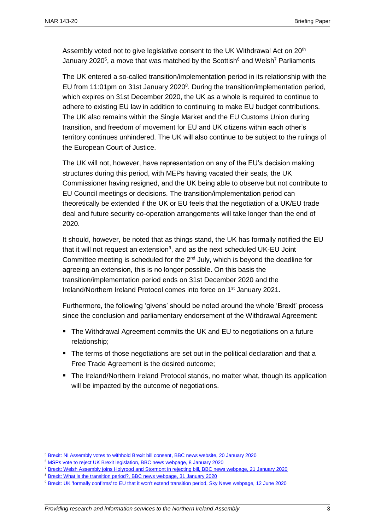Assembly voted not to give legislative consent to the UK Withdrawal Act on 20<sup>th</sup> January 2020<sup>5</sup>, a move that was matched by the Scottish<sup>6</sup> and Welsh<sup>7</sup> Parliaments

The UK entered a so-called transition/implementation period in its relationship with the EU from 11:01pm on 31st January 2020<sup>8</sup>. During the transition/implementation period, which expires on 31st December 2020, the UK as a whole is required to continue to adhere to existing EU law in addition to continuing to make EU budget contributions. The UK also remains within the Single Market and the EU Customs Union during transition, and freedom of movement for EU and UK citizens within each other's territory continues unhindered. The UK will also continue to be subject to the rulings of the European Court of Justice.

The UK will not, however, have representation on any of the EU's decision making structures during this period, with MEPs having vacated their seats, the UK Commissioner having resigned, and the UK being able to observe but not contribute to EU Council meetings or decisions. The transition/implementation period can theoretically be extended if the UK or EU feels that the negotiation of a UK/EU trade deal and future security co-operation arrangements will take longer than the end of 2020.

It should, however, be noted that as things stand, the UK has formally notified the EU that it will not request an extension $9$ , and as the next scheduled UK-EU Joint Committee meeting is scheduled for the 2<sup>nd</sup> July, which is beyond the deadline for agreeing an extension, this is no longer possible. On this basis the transition/implementation period ends on 31st December 2020 and the Ireland/Northern Ireland Protocol comes into force on 1<sup>st</sup> January 2021.

Furthermore, the following 'givens' should be noted around the whole 'Brexit' process since the conclusion and parliamentary endorsement of the Withdrawal Agreement:

- The Withdrawal Agreement commits the UK and EU to negotiations on a future relationship;
- The terms of those negotiations are set out in the political declaration and that a Free Trade Agreement is the desired outcome;
- The Ireland/Northern Ireland Protocol stands, no matter what, though its application will be impacted by the outcome of negotiations.

<sup>5</sup> [Brexit: NI Assembly votes to withhold Brexit bill consent, BBC news website, 20 January 2020](https://www.bbc.co.uk/news/uk-northern-ireland-51174448)

<sup>6</sup> [MSPs vote to reject UK Brexit legislation, BBC news webpage, 8 January 2020](https://www.bbc.co.uk/news/uk-scotland-scotland-politics-51026014)

<sup>7</sup> [Brexit: Welsh Assembly joins Holyrood and Stormont in rejecting bill, BBC news webpage, 21 January 2020](https://www.bbc.co.uk/news/uk-wales-politics-51181641)

<sup>8</sup> [Brexit: What is the transition period?, BBC news webpage, 31 January 2020](https://www.bbc.co.uk/news/uk-politics-50838994)

<sup>9</sup> [Brexit: UK 'formally confirms' to EU that it won't extend transition period, Sky News webpage, 12 June 2020](https://news.sky.com/story/brexit-uk-formally-confirms-to-eu-that-it-wont-extend-transition-period-12005296)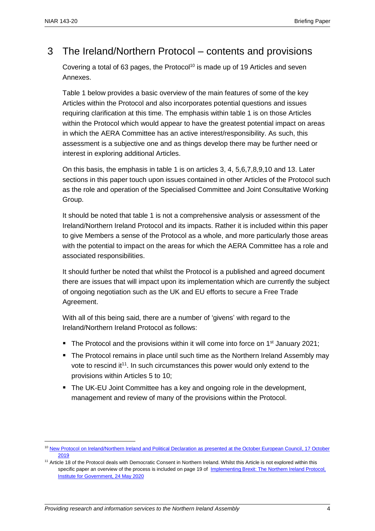## 3 The Ireland/Northern Protocol – contents and provisions

Covering a total of 63 pages, the Protocol<sup>10</sup> is made up of 19 Articles and seven Annexes.

Table 1 below provides a basic overview of the main features of some of the key Articles within the Protocol and also incorporates potential questions and issues requiring clarification at this time. The emphasis within table 1 is on those Articles within the Protocol which would appear to have the greatest potential impact on areas in which the AERA Committee has an active interest/responsibility. As such, this assessment is a subjective one and as things develop there may be further need or interest in exploring additional Articles.

On this basis, the emphasis in table 1 is on articles 3, 4, 5,6,7,8,9,10 and 13. Later sections in this paper touch upon issues contained in other Articles of the Protocol such as the role and operation of the Specialised Committee and Joint Consultative Working Group.

It should be noted that table 1 is not a comprehensive analysis or assessment of the Ireland/Northern Ireland Protocol and its impacts. Rather it is included within this paper to give Members a sense of the Protocol as a whole, and more particularly those areas with the potential to impact on the areas for which the AERA Committee has a role and associated responsibilities.

It should further be noted that whilst the Protocol is a published and agreed document there are issues that will impact upon its implementation which are currently the subject of ongoing negotiation such as the UK and EU efforts to secure a Free Trade Agreement.

With all of this being said, there are a number of 'givens' with regard to the Ireland/Northern Ireland Protocol as follows:

- The Protocol and the provisions within it will come into force on  $1<sup>st</sup>$  January 2021;
- The Protocol remains in place until such time as the Northern Ireland Assembly may vote to rescind it<sup>11</sup>. In such circumstances this power would only extend to the provisions within Articles 5 to 10;
- The UK-EU Joint Committee has a key and ongoing role in the development, management and review of many of the provisions within the Protocol.

<sup>10</sup> [New Protocol on Ireland/Northern Ireland and Political Declaration as presented at the October European Council, 17 October](https://assets.publishing.service.gov.uk/government/uploads/system/uploads/attachment_data/file/840230/Revised_Protocol_to_the_Withdrawal_Agreement.pdf)  [2019](https://assets.publishing.service.gov.uk/government/uploads/system/uploads/attachment_data/file/840230/Revised_Protocol_to_the_Withdrawal_Agreement.pdf)

<sup>&</sup>lt;sup>11</sup> Article 18 of the Protocol deals with Democratic Consent in Northern Ireland. Whilst this Article is not explored within this specific paper an overview of the process is included on page 19 of Implementing Brexit: The Northern Ireland Protocol, [Institute for Government, 24 May 2020](https://www.instituteforgovernment.org.uk/sites/default/files/publications/implementing-brexit-northern-ireland-protocol.pdf)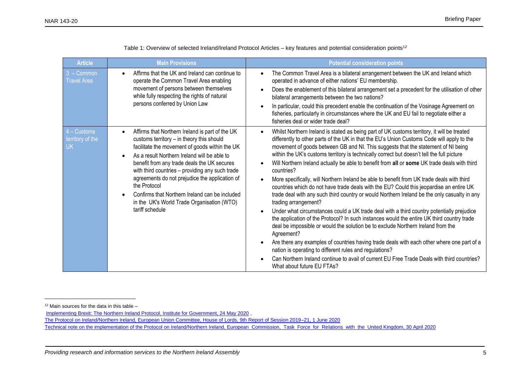| <b>Article</b>                                 | <b>Main Provisions</b>                                                                                                                                                                                                                                                                                                                                                                                                                                                                | <b>Potential consideration points</b>                                                                                                                                                                                                                                                                                                                                                                                                                                                                                                                                                                                                                                                                                                                                                                                                                                                                                                                                                                                                                                                                                                                                                                                                                                                                                                                                                          |
|------------------------------------------------|---------------------------------------------------------------------------------------------------------------------------------------------------------------------------------------------------------------------------------------------------------------------------------------------------------------------------------------------------------------------------------------------------------------------------------------------------------------------------------------|------------------------------------------------------------------------------------------------------------------------------------------------------------------------------------------------------------------------------------------------------------------------------------------------------------------------------------------------------------------------------------------------------------------------------------------------------------------------------------------------------------------------------------------------------------------------------------------------------------------------------------------------------------------------------------------------------------------------------------------------------------------------------------------------------------------------------------------------------------------------------------------------------------------------------------------------------------------------------------------------------------------------------------------------------------------------------------------------------------------------------------------------------------------------------------------------------------------------------------------------------------------------------------------------------------------------------------------------------------------------------------------------|
| $3 - \text{Common}$<br><b>Travel Area</b>      | Affirms that the UK and Ireland can continue to<br>operate the Common Travel Area enabling<br>movement of persons between themselves<br>while fully respecting the rights of natural<br>persons conferred by Union Law                                                                                                                                                                                                                                                                | The Common Travel Area is a bilateral arrangement between the UK and Ireland which<br>operated in advance of either nations' EU membership.<br>Does the enablement of this bilateral arrangement set a precedent for the utilisation of other<br>bilateral arrangements between the two nations?<br>In particular, could this precedent enable the continuation of the Vosinage Agreement on<br>fisheries, particularly in circumstances where the UK and EU fail to negotiate either a<br>fisheries deal or wider trade deal?                                                                                                                                                                                                                                                                                                                                                                                                                                                                                                                                                                                                                                                                                                                                                                                                                                                                 |
| $4 -$ Customs<br>territory of the<br><b>UK</b> | Affirms that Northern Ireland is part of the UK<br>customs territory - in theory this should<br>facilitate the movement of goods within the UK<br>As a result Northern Ireland will be able to<br>benefit from any trade deals the UK secures<br>with third countries - providing any such trade<br>agreements do not prejudice the application of<br>the Protocol<br>Confirms that Northern Ireland can be included<br>in the UK's World Trade Organisation (WTO)<br>tariff schedule | Whilst Northern Ireland is stated as being part of UK customs territory, it will be treated<br>differently to other parts of the UK in that the EU's Union Customs Code will apply to the<br>movement of goods between GB and NI. This suggests that the statement of NI being<br>within the UK's customs territory is technically correct but doesn't tell the full picture<br>Will Northern Ireland actually be able to benefit from all or some UK trade deals with third<br>countries?<br>More specifically, will Northern Ireland be able to benefit from UK trade deals with third<br>countries which do not have trade deals with the EU? Could this jeopardise an entire UK<br>trade deal with any such third country or would Northern Ireland be the only casualty in any<br>trading arrangement?<br>Under what circumstances could a UK trade deal with a third country potentially prejudice<br>the application of the Protocol? In such instances would the entire UK third country trade<br>deal be impossible or would the solution be to exclude Northern Ireland from the<br>Agreement?<br>Are there any examples of countries having trade deals with each other where one part of a<br>nation is operating to different rules and regulations?<br>Can Northern Ireland continue to avail of current EU Free Trade Deals with third countries?<br>What about future EU FTAs? |

Table 1: Overview of selected Ireland/Ireland Protocol Articles – key features and potential consideration points<sup>12</sup>

 $12$  Main sources for the data in this table  $-$ 

[Implementing Brexit: The Northern Ireland Protocol, Institute for Government, 24 May 2020](https://www.instituteforgovernment.org.uk/sites/default/files/publications/implementing-brexit-northern-ireland-protocol.pdf) ,

[The Protocol on Ireland/Northern Ireland, European Union Committee, House of Lords, 9th Report of Session 2019–21, 1 June 2020](https://committees.parliament.uk/publications/1282/documents/11395/default/)

[Technical note on the implementation of the Protocol on Ireland/Northern Ireland, European Commission, Task Force for Relations with the United Kingdom, 30 April 2020](https://ec.europa.eu/info/sites/info/files/brexit_files/info_site/20200430_note_protocol_ie_ni.pdf)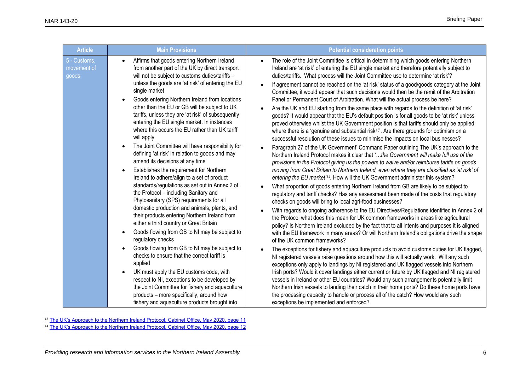| <b>Article</b>                       | <b>Main Provisions</b>                                                                                                                                                                                                                                                                                                                                                                                                                                                                                                                                                                                                                                                                                                                                                                                                                                                                                                                                                                                                                                                                                                                                                                                                                                                                                                                                                                                                                                            | <b>Potential consideration points</b>                                                                                                                                                                                                                                                                                                                                                                                                                                                                                                                                                                                                                                                                                                                                                                                                                                                                                                                                                                                                                                                                                                                                                                                                                                                                                                                                                                                                                                                                                                                                                                                                                                                                                                                                                                                                                                                                                                                                                                                                                                                                                                                                                                                                                                                                                                                                                                                                                                                                                                                                                                                                                                                                                                                                                                                                                                                                                          |  |
|--------------------------------------|-------------------------------------------------------------------------------------------------------------------------------------------------------------------------------------------------------------------------------------------------------------------------------------------------------------------------------------------------------------------------------------------------------------------------------------------------------------------------------------------------------------------------------------------------------------------------------------------------------------------------------------------------------------------------------------------------------------------------------------------------------------------------------------------------------------------------------------------------------------------------------------------------------------------------------------------------------------------------------------------------------------------------------------------------------------------------------------------------------------------------------------------------------------------------------------------------------------------------------------------------------------------------------------------------------------------------------------------------------------------------------------------------------------------------------------------------------------------|--------------------------------------------------------------------------------------------------------------------------------------------------------------------------------------------------------------------------------------------------------------------------------------------------------------------------------------------------------------------------------------------------------------------------------------------------------------------------------------------------------------------------------------------------------------------------------------------------------------------------------------------------------------------------------------------------------------------------------------------------------------------------------------------------------------------------------------------------------------------------------------------------------------------------------------------------------------------------------------------------------------------------------------------------------------------------------------------------------------------------------------------------------------------------------------------------------------------------------------------------------------------------------------------------------------------------------------------------------------------------------------------------------------------------------------------------------------------------------------------------------------------------------------------------------------------------------------------------------------------------------------------------------------------------------------------------------------------------------------------------------------------------------------------------------------------------------------------------------------------------------------------------------------------------------------------------------------------------------------------------------------------------------------------------------------------------------------------------------------------------------------------------------------------------------------------------------------------------------------------------------------------------------------------------------------------------------------------------------------------------------------------------------------------------------------------------------------------------------------------------------------------------------------------------------------------------------------------------------------------------------------------------------------------------------------------------------------------------------------------------------------------------------------------------------------------------------------------------------------------------------------------------------------------------------|--|
| 5 - Customs,<br>movement of<br>goods | Affirms that goods entering Northern Ireland<br>from another part of the UK by direct transport<br>will not be subject to customs duties/tariffs -<br>unless the goods are 'at risk' of entering the EU<br>single market<br>Goods entering Northern Ireland from locations<br>other than the EU or GB will be subject to UK<br>tariffs, unless they are 'at risk' of subsequently<br>entering the EU single market. In instances<br>where this occurs the EU rather than UK tariff<br>will apply<br>The Joint Committee will have responsibility for<br>defining 'at risk' in relation to goods and may<br>amend its decisions at any time<br>Establishes the requirement for Northern<br>Ireland to adhere/align to a set of product<br>standards/regulations as set out in Annex 2 of<br>the Protocol - including Sanitary and<br>Phytosanitary (SPS) requirements for all<br>domestic production and animals, plants, and<br>their products entering Northern Ireland from<br>either a third country or Great Britain<br>Goods flowing from GB to NI may be subject to<br>$\bullet$<br>regulatory checks<br>Goods flowing from GB to NI may be subject to<br>checks to ensure that the correct tariff is<br>applied<br>UK must apply the EU customs code, with<br>respect to NI, exceptions to be developed by<br>the Joint Committee for fishery and aquaculture<br>products – more specifically, around how<br>fishery and aquaculture products brought into | The role of the Joint Committee is critical in determining which goods entering Northern<br>Ireland are 'at risk' of entering the EU single market and therefore potentially subject to<br>duties/tariffs. What process will the Joint Committee use to determine 'at risk'?<br>If agreement cannot be reached on the 'at risk' status of a good/goods category at the Joint<br>Committee, it would appear that such decisions would then be the remit of the Arbitration<br>Panel or Permanent Court of Arbitration. What will the actual process be here?<br>Are the UK and EU starting from the same place with regards to the definition of 'at risk'<br>goods? It would appear that the EU's default position is for all goods to be 'at risk' unless<br>proved otherwise whilst the UK Government position is that tariffs should only be applied<br>where there is a 'genuine and substantial risk <sup>13'</sup> . Are there grounds for optimism on a<br>successful resolution of these issues to minimise the impacts on local businesses?<br>Paragraph 27 of the UK Government' Command Paper outlining The UK's approach to the<br>Northern Ireland Protocol makes it clear that 'the Government will make full use of the<br>provisions in the Protocol giving us the powers to waive and/or reimburse tariffs on goods<br>moving from Great Britain to Northern Ireland, even where they are classified as 'at risk' of<br>entering the EU market' <sup>14</sup> . How will the UK Government administer this system?<br>What proportion of goods entering Northern Ireland from GB are likely to be subject to<br>regulatory and tariff checks? Has any assessment been made of the costs that regulatory<br>checks on goods will bring to local agri-food businesses?<br>With regards to ongoing adherence to the EU Directives/Regulations identified in Annex 2 of<br>the Protocol what does this mean for UK common frameworks in areas like agricultural<br>policy? Is Northern Ireland excluded by the fact that to all intents and purposes it is aligned<br>with the EU framework in many areas? Or will Northern Ireland's obligations drive the shape<br>of the UK common frameworks?<br>The exceptions for fishery and aquaculture products to avoid customs duties for UK flagged,<br>NI registered vessels raise questions around how this will actually work. Will any such<br>exceptions only apply to landings by NI registered and UK flagged vessels into Northern<br>Irish ports? Would it cover landings either current or future by UK flagged and NI registered<br>vessels in Ireland or other EU countries? Would any such arrangements potentially limit<br>Northern Irish vessels to landing their catch in their home ports? Do these home ports have<br>the processing capacity to handle or process all of the catch? How would any such<br>exceptions be implemented and enforced? |  |

<sup>&</sup>lt;sup>13</sup> [The UK's Approach to the Northern Ireland Protocol, Cabinet Office, May 2020, page 11](https://assets.publishing.service.gov.uk/government/uploads/system/uploads/attachment_data/file/887532/The_UK_s_Approach_to_NI_Protocol_Web_Accessible.pdf)

<sup>&</sup>lt;sup>14</sup> [The UK's Approach to the Northern Ireland Protocol, Cabinet Office, May 2020, page 12](https://assets.publishing.service.gov.uk/government/uploads/system/uploads/attachment_data/file/887532/The_UK_s_Approach_to_NI_Protocol_Web_Accessible.pdf)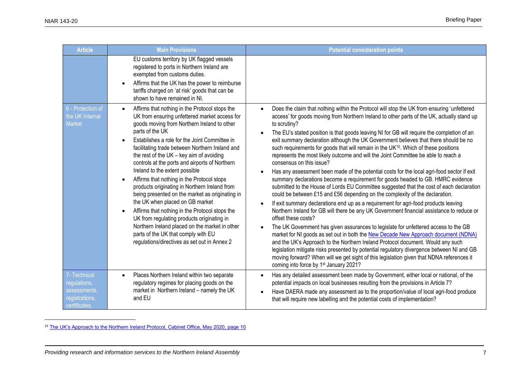| <b>Article</b>                                                                  | <b>Main Provisions</b>                                                                                                                                                                                                                                                                                                                                                                                                                                                                                                                                                                                                                                                                                                                                                                                                                             | <b>Potential consideration points</b>                                                                                                                                                                                                                                                                                                                                                                                                                                                                                                                                                                                                                                                                                                                                                                                                                                                                                                                                                                                                                                                                                                                                                                                                                                                                                                                                                                                                                                                                                                                                                                                                                                                                      |
|---------------------------------------------------------------------------------|----------------------------------------------------------------------------------------------------------------------------------------------------------------------------------------------------------------------------------------------------------------------------------------------------------------------------------------------------------------------------------------------------------------------------------------------------------------------------------------------------------------------------------------------------------------------------------------------------------------------------------------------------------------------------------------------------------------------------------------------------------------------------------------------------------------------------------------------------|------------------------------------------------------------------------------------------------------------------------------------------------------------------------------------------------------------------------------------------------------------------------------------------------------------------------------------------------------------------------------------------------------------------------------------------------------------------------------------------------------------------------------------------------------------------------------------------------------------------------------------------------------------------------------------------------------------------------------------------------------------------------------------------------------------------------------------------------------------------------------------------------------------------------------------------------------------------------------------------------------------------------------------------------------------------------------------------------------------------------------------------------------------------------------------------------------------------------------------------------------------------------------------------------------------------------------------------------------------------------------------------------------------------------------------------------------------------------------------------------------------------------------------------------------------------------------------------------------------------------------------------------------------------------------------------------------------|
|                                                                                 | EU customs territory by UK flagged vessels<br>registered to ports in Northern Ireland are<br>exempted from customs duties.<br>Affirms that the UK has the power to reimburse<br>tariffs charged on 'at risk' goods that can be<br>shown to have remained in NI.                                                                                                                                                                                                                                                                                                                                                                                                                                                                                                                                                                                    |                                                                                                                                                                                                                                                                                                                                                                                                                                                                                                                                                                                                                                                                                                                                                                                                                                                                                                                                                                                                                                                                                                                                                                                                                                                                                                                                                                                                                                                                                                                                                                                                                                                                                                            |
| 6 - Protection of<br>the UK Internal<br>Market                                  | Affirms that nothing in the Protocol stops the<br>$\bullet$<br>UK from ensuring unfettered market access for<br>goods moving from Northern Ireland to other<br>parts of the UK<br>Establishes a role for the Joint Committee in<br>facilitating trade between Northern Ireland and<br>the rest of the UK $-$ key aim of avoiding<br>controls at the ports and airports of Northern<br>Ireland to the extent possible<br>Affirms that nothing in the Protocol stops<br>products originating in Northern Ireland from<br>being presented on the market as originating in<br>the UK when placed on GB market<br>Affirms that nothing in the Protocol stops the<br>UK from regulating products originating in<br>Northern Ireland placed on the market in other<br>parts of the UK that comply with EU<br>regulations/directives as set out in Annex 2 | Does the claim that nothing within the Protocol will stop the UK from ensuring 'unfettered<br>access' for goods moving from Northern Ireland to other parts of the UK, actually stand up<br>to scrutiny?<br>The EU's stated position is that goods leaving NI for GB will require the completion of an<br>exit summary declaration although the UK Government believes that there should be no<br>such requirements for goods that will remain in the UK <sup>15</sup> . Which of these positions<br>represents the most likely outcome and will the Joint Committee be able to reach a<br>consensus on this issue?<br>Has any assessment been made of the potential costs for the local agri-food sector if exit<br>summary declarations become a requirement for goods headed to GB. HMRC evidence<br>submitted to the House of Lords EU Committee suggested that the cost of each declaration<br>could be between £15 and £56 depending on the complexity of the declaration.<br>If exit summary declarations end up as a requirement for agri-food products leaving<br>Northern Ireland for GB will there be any UK Government financial assistance to reduce or<br>offset these costs?<br>The UK Government has given assurances to legislate for unfettered access to the GB<br>market for NI goods as set out in both the New Decade New Approach document (NDNA)<br>and the UK's Approach to the Northern Ireland Protocol document. Would any such<br>legislation mitigate risks presented by potential regulatory divergence between NI and GB<br>moving forward? When will we get sight of this legislation given that NDNA references it<br>coming into force by 1 <sup>st</sup> January 2021? |
| 7- Technical<br>regulations,<br>assessments,<br>registrations,<br>certificates, | Places Northern Ireland within two separate<br>$\bullet$<br>regulatory regimes for placing goods on the<br>market in Northern Ireland - namely the UK<br>and EU                                                                                                                                                                                                                                                                                                                                                                                                                                                                                                                                                                                                                                                                                    | Has any detailed assessment been made by Government, either local or national, of the<br>potential impacts on local businesses resulting from the provisions in Article 7?<br>Have DAERA made any assessment as to the proportion/value of local agri-food produce<br>that will require new labelling and the potential costs of implementation?                                                                                                                                                                                                                                                                                                                                                                                                                                                                                                                                                                                                                                                                                                                                                                                                                                                                                                                                                                                                                                                                                                                                                                                                                                                                                                                                                           |

<sup>15</sup> [The UK's Approach to the Northern Ireland Protocol, Cabinet Office, May 2020, page 10](https://assets.publishing.service.gov.uk/government/uploads/system/uploads/attachment_data/file/887532/The_UK_s_Approach_to_NI_Protocol_Web_Accessible.pdf)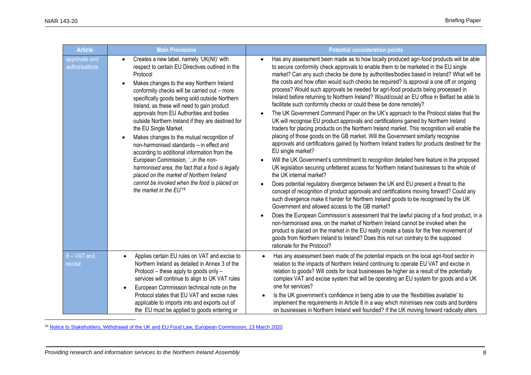| <b>Article</b>                  | <b>Main Provisions</b>                                                                                                                                                                                                                                                                                                                                                                                                                                                                                                                                                                                                                                                                                                                                                                                               | <b>Potential consideration points</b>                                                                                                                                                                                                                                                                                                                                                                                                                                                                                                                                                                                                                                                                                                                                                                                                                                                                                                                                                                                                                                                                                                                                                                                                                                                                                                                                                                                                                                                                                                                                                                                                                                                                                                                                                                                                                                                                                                                                                                                                                                                        |  |
|---------------------------------|----------------------------------------------------------------------------------------------------------------------------------------------------------------------------------------------------------------------------------------------------------------------------------------------------------------------------------------------------------------------------------------------------------------------------------------------------------------------------------------------------------------------------------------------------------------------------------------------------------------------------------------------------------------------------------------------------------------------------------------------------------------------------------------------------------------------|----------------------------------------------------------------------------------------------------------------------------------------------------------------------------------------------------------------------------------------------------------------------------------------------------------------------------------------------------------------------------------------------------------------------------------------------------------------------------------------------------------------------------------------------------------------------------------------------------------------------------------------------------------------------------------------------------------------------------------------------------------------------------------------------------------------------------------------------------------------------------------------------------------------------------------------------------------------------------------------------------------------------------------------------------------------------------------------------------------------------------------------------------------------------------------------------------------------------------------------------------------------------------------------------------------------------------------------------------------------------------------------------------------------------------------------------------------------------------------------------------------------------------------------------------------------------------------------------------------------------------------------------------------------------------------------------------------------------------------------------------------------------------------------------------------------------------------------------------------------------------------------------------------------------------------------------------------------------------------------------------------------------------------------------------------------------------------------------|--|
| approvals and<br>authorisations | Creates a new label, namely 'UK(NI)' with<br>$\bullet$<br>respect to certain EU Directives outlined in the<br>Protocol<br>Makes changes to the way Northern Ireland<br>conformity checks will be carried out - more<br>specifically goods being sold outside Northern<br>Ireland, as these will need to gain product<br>approvals from EU Authorities and bodies<br>outside Northern Ireland if they are destined for<br>the EU Single Market.<br>Makes changes to the mutual recognition of<br>non-harmonised standards - in effect and<br>according to additional information from the<br>European Commission, 'in the non-<br>harmonised area, the fact that a food is legally<br>placed on the market of Northern Ireland<br>cannot be invoked when the food is placed on<br>the market in the EU' <sup>16</sup> | Has any assessment been made as to how locally produced agri-food products will be able<br>$\bullet$<br>to secure conformity check approvals to enable them to be marketed in the EU single<br>market? Can any such checks be done by authorities/bodies based in Ireland? What will be<br>the costs and how often would such checks be required? Is approval a one off or ongoing<br>process? Would such approvals be needed for agri-food products being processed in<br>Ireland before returning to Northern Ireland? Would/could an EU office in Belfast be able to<br>facilitate such conformity checks or could these be done remotely?<br>The UK Government Command Paper on the UK's approach to the Protocol states that the<br>UK will recognise EU product approvals and certifications gained by Northern Ireland<br>traders for placing products on the Northern Ireland market. This recognition will enable the<br>placing of those goods on the GB market. Will the Government similarly recognise<br>approvals and certifications gained by Northern Ireland traders for products destined for the<br>EU single market?<br>Will the UK Government's commitment to recognition detailed here feature in the proposed<br>UK legislation securing unfettered access for Northern Ireland businesses to the whole of<br>the UK internal market?<br>Does potential regulatory divergence between the UK and EU present a threat to the<br>concept of recognition of product approvals and certifications moving forward? Could any<br>such divergence make it harder for Northern Ireland goods to be recognised by the UK<br>Government and allowed access to the GB market?<br>Does the European Commission's assessment that the lawful placing of a food product, in a<br>non-harmonised area, on the market of Northern Ireland cannot be invoked when the<br>product is placed on the market in the EU really create a basis for the free movement of<br>goods from Northern Ireland to Ireland? Does this not run contrary to the supposed<br>rationale for the Protocol? |  |
| 8 - VAT and<br>excise           | Applies certain EU rules on VAT and excise to<br>$\bullet$<br>Northern Ireland as detailed in Annex 3 of the<br>Protocol - these apply to goods only -<br>services will continue to align to UK VAT rules<br>European Commission technical note on the<br>Protocol states that EU VAT and excise rules<br>applicable to imports into and exports out of<br>the EU must be applied to goods entering or                                                                                                                                                                                                                                                                                                                                                                                                               | Has any assessment been made of the potential impacts on the local agri-food sector in<br>relation to the impacts of Northern Ireland continuing to operate EU VAT and excise in<br>relation to goods? Will costs for local businesses be higher as a result of the potentially<br>complex VAT and excise system that will be operating an EU system for goods and a UK<br>one for services?<br>Is the UK government's confidence in being able to use the 'flexibilities available' to<br>implement the requirements in Article 8 in a way which minimises new costs and burdens<br>on businesses in Northern Ireland well founded? If the UK moving forward radically alters                                                                                                                                                                                                                                                                                                                                                                                                                                                                                                                                                                                                                                                                                                                                                                                                                                                                                                                                                                                                                                                                                                                                                                                                                                                                                                                                                                                                               |  |

<sup>16</sup> [Notice to Stakeholders, Withdrawal of the UK and EU Food Law, European Commission, 13 March 2020](https://ec.europa.eu/info/sites/info/files/notice_for_stakeholders_food_law.pdf)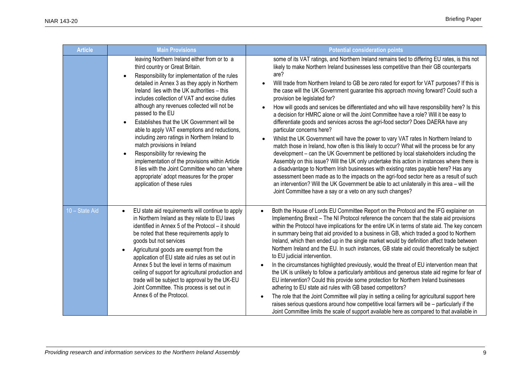| <b>Article</b> | <b>Main Provisions</b>                                                                                                                                                                                                                                                                                                                                                                                                                                                                                                                                                                                                                                                                                                                                  | <b>Potential consideration points</b>                                                                                                                                                                                                                                                                                                                                                                                                                                                                                                                                                                                                                                                                                                                                                                                                                                                                                                                                                                                                                                                                                                                                                                                                                                                                                                                                                                                                                             |
|----------------|---------------------------------------------------------------------------------------------------------------------------------------------------------------------------------------------------------------------------------------------------------------------------------------------------------------------------------------------------------------------------------------------------------------------------------------------------------------------------------------------------------------------------------------------------------------------------------------------------------------------------------------------------------------------------------------------------------------------------------------------------------|-------------------------------------------------------------------------------------------------------------------------------------------------------------------------------------------------------------------------------------------------------------------------------------------------------------------------------------------------------------------------------------------------------------------------------------------------------------------------------------------------------------------------------------------------------------------------------------------------------------------------------------------------------------------------------------------------------------------------------------------------------------------------------------------------------------------------------------------------------------------------------------------------------------------------------------------------------------------------------------------------------------------------------------------------------------------------------------------------------------------------------------------------------------------------------------------------------------------------------------------------------------------------------------------------------------------------------------------------------------------------------------------------------------------------------------------------------------------|
|                | leaving Northern Ireland either from or to a<br>third country or Great Britain.<br>Responsibility for implementation of the rules<br>detailed in Annex 3 as they apply in Northern<br>Ireland lies with the UK authorities - this<br>includes collection of VAT and excise duties<br>although any revenues collected will not be<br>passed to the EU<br>Establishes that the UK Government will be<br>able to apply VAT exemptions and reductions,<br>including zero ratings in Northern Ireland to<br>match provisions in Ireland<br>Responsibility for reviewing the<br>implementation of the provisions within Article<br>8 lies with the Joint Committee who can 'where<br>appropriate' adopt measures for the proper<br>application of these rules | some of its VAT ratings, and Northern Ireland remains tied to differing EU rates, is this not<br>likely to make Northern Ireland businesses less competitive than their GB counterparts<br>are?<br>Will trade from Northern Ireland to GB be zero rated for export for VAT purposes? If this is<br>the case will the UK Government guarantee this approach moving forward? Could such a<br>provision be legislated for?<br>How will goods and services be differentiated and who will have responsibility here? Is this<br>a decision for HMRC alone or will the Joint Committee have a role? Will it be easy to<br>differentiate goods and services across the agri-food sector? Does DAERA have any<br>particular concerns here?<br>Whilst the UK Government will have the power to vary VAT rates In Northern Ireland to<br>match those in Ireland, how often is this likely to occur? What will the process be for any<br>development - can the UK Government be petitioned by local stakeholders including the<br>Assembly on this issue? Will the UK only undertake this action in instances where there is<br>a disadvantage to Northern Irish businesses with existing rates payable here? Has any<br>assessment been made as to the impacts on the agri-food sector here as a result of such<br>an intervention? Will the UK Government be able to act unilaterally in this area – will the<br>Joint Committee have a say or a veto on any such changes? |
| 10 - State Aid | EU state aid requirements will continue to apply<br>in Northern Ireland as they relate to EU laws<br>identified in Annex 5 of the Protocol - it should<br>be noted that these requirements apply to<br>goods but not services<br>Agricultural goods are exempt from the<br>$\bullet$<br>application of EU state aid rules as set out in<br>Annex 5 but the level in terms of maximum<br>ceiling of support for agricultural production and<br>trade will be subject to approval by the UK-EU<br>Joint Committee. This process is set out in<br>Annex 6 of the Protocol.                                                                                                                                                                                 | Both the House of Lords EU Committee Report on the Protocol and the IFG explainer on<br>Implementing Brexit - The NI Protocol reference the concern that the state aid provisions<br>within the Protocol have implications for the entire UK in terms of state aid. The key concern<br>in summary being that aid provided to a business in GB, which traded a good to Northern<br>Ireland, which then ended up in the single market would by definition affect trade between<br>Northern Ireland and the EU. In such instances, GB state aid could theoretically be subject<br>to EU judicial intervention.<br>In the circumstances highlighted previously, would the threat of EU intervention mean that<br>the UK is unlikely to follow a particularly ambitious and generous state aid regime for fear of<br>EU intervention? Could this provide some protection for Northern Ireland businesses<br>adhering to EU state aid rules with GB based competitors?<br>The role that the Joint Committee will play in setting a ceiling for agricultural support here<br>raises serious questions around how competitive local farmers will be - particularly if the<br>Joint Committee limits the scale of support available here as compared to that available in                                                                                                                                                                                                  |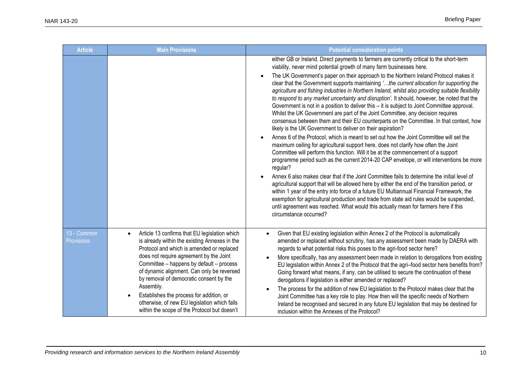| <b>Article</b>                   | <b>Main Provisions</b>                                                                                                                                                                                                                                                                                                                                                                                                                                                               | <b>Potential consideration points</b>                                                                                                                                                                                                                                                                                                                                                                                                                                                                                                                                                                                                                                                                                                                                                                                                                                                                                                                                                                                                                                                                                                                                                                                                                                                                                                                                                                                                                                                                                                                                                                                                                                                                                                                                                               |
|----------------------------------|--------------------------------------------------------------------------------------------------------------------------------------------------------------------------------------------------------------------------------------------------------------------------------------------------------------------------------------------------------------------------------------------------------------------------------------------------------------------------------------|-----------------------------------------------------------------------------------------------------------------------------------------------------------------------------------------------------------------------------------------------------------------------------------------------------------------------------------------------------------------------------------------------------------------------------------------------------------------------------------------------------------------------------------------------------------------------------------------------------------------------------------------------------------------------------------------------------------------------------------------------------------------------------------------------------------------------------------------------------------------------------------------------------------------------------------------------------------------------------------------------------------------------------------------------------------------------------------------------------------------------------------------------------------------------------------------------------------------------------------------------------------------------------------------------------------------------------------------------------------------------------------------------------------------------------------------------------------------------------------------------------------------------------------------------------------------------------------------------------------------------------------------------------------------------------------------------------------------------------------------------------------------------------------------------------|
|                                  |                                                                                                                                                                                                                                                                                                                                                                                                                                                                                      | either GB or Ireland. Direct payments to farmers are currently critical to the short-term<br>viability, never mind potential growth of many farm businesses here.<br>The UK Government's paper on their approach to the Northern Ireland Protocol makes it<br>clear that the Government supports maintaining 'the current allocation for supporting the<br>agriculture and fishing industries in Northern Ireland, whilst also providing suitable flexibility<br>to respond to any market uncertainty and disruption'. It should, however, be noted that the<br>Government is not in a position to deliver this - it is subject to Joint Committee approval.<br>Whilst the UK Government are part of the Joint Committee, any decision requires<br>consensus between them and their EU counterparts on the Committee. In that context, how<br>likely is the UK Government to deliver on their aspiration?<br>Annex 6 of the Protocol, which is meant to set out how the Joint Committee will set the<br>maximum ceiling for agricultural support here, does not clarify how often the Joint<br>Committee will perform this function. Will it be at the commencement of a support<br>programme period such as the current 2014-20 CAP envelope, or will interventions be more<br>regular?<br>Annex 6 also makes clear that if the Joint Committee fails to determine the initial level of<br>agricultural support that will be allowed here by either the end of the transition period, or<br>within 1 year of the entry into force of a future EU Multiannual Financial Framework, the<br>exemption for agricultural production and trade from state aid rules would be suspended,<br>until agreement was reached. What would this actually mean for farmers here if this<br>circumstance occurred? |
| 13 - Common<br><b>Provisions</b> | Article 13 confirms that EU legislation which<br>is already within the existing Annexes in the<br>Protocol and which is amended or replaced<br>does not require agreement by the Joint<br>Committee - happens by default - process<br>of dynamic alignment. Can only be reversed<br>by removal of democratic consent by the<br>Assembly.<br>Establishes the process for addition, or<br>otherwise, of new EU legislation which falls<br>within the scope of the Protocol but doesn't | Given that EU existing legislation within Annex 2 of the Protocol is automatically<br>amended or replaced without scrutiny, has any assessment been made by DAERA with<br>regards to what potential risks this poses to the agri-food sector here?<br>More specifically, has any assessment been made in relation to derogations from existing<br>EU legislation within Annex 2 of the Protocol that the agri-food sector here benefits from?<br>Going forward what means, if any, can be utilised to secure the continuation of these<br>derogations if legislation is either amended or replaced?<br>The process for the addition of new EU legislation to the Protocol makes clear that the<br>Joint Committee has a key role to play. How then will the specific needs of Northern<br>Ireland be recognised and secured in any future EU legislation that may be destined for<br>inclusion within the Annexes of the Protocol?                                                                                                                                                                                                                                                                                                                                                                                                                                                                                                                                                                                                                                                                                                                                                                                                                                                                  |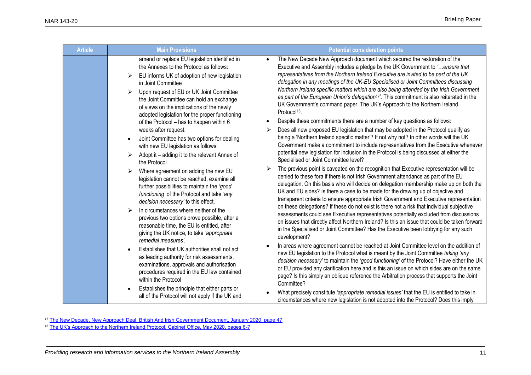| <b>Article</b> | <b>Main Provisions</b>                                                                                                                                                                                                                                                                                                                                                                                 | <b>Potential consideration points</b>                                                                                                                                                                                                                                                                                                                                                                                                                                                                                                                                                                                                                                                                                                                       |
|----------------|--------------------------------------------------------------------------------------------------------------------------------------------------------------------------------------------------------------------------------------------------------------------------------------------------------------------------------------------------------------------------------------------------------|-------------------------------------------------------------------------------------------------------------------------------------------------------------------------------------------------------------------------------------------------------------------------------------------------------------------------------------------------------------------------------------------------------------------------------------------------------------------------------------------------------------------------------------------------------------------------------------------------------------------------------------------------------------------------------------------------------------------------------------------------------------|
|                | amend or replace EU legislation identified in<br>the Annexes to the Protocol as follows:<br>EU informs UK of adoption of new legislation<br>in Joint Committee<br>Upon request of EU or UK Joint Committee<br>⋗<br>the Joint Committee can hold an exchange<br>of views on the implications of the newly<br>adopted legislation for the proper functioning<br>of the Protocol - has to happen within 6 | The New Decade New Approach document which secured the restoration of the<br>$\bullet$<br>Executive and Assembly includes a pledge by the UK Government to 'ensure that<br>representatives from the Northern Ireland Executive are invited to be part of the UK<br>delegation in any meetings of the UK-EU Specialised or Joint Committees discussing<br>Northern Ireland specific matters which are also being attended by the Irish Government<br>as part of the European Union's delegation <sup>17</sup> '. This commitment is also reiterated in the<br>UK Government's command paper, The UK's Approach to the Northern Ireland<br>Protocol <sup>18</sup> .<br>Despite these commitments there are a number of key questions as follows:<br>$\bullet$ |
|                | weeks after request.<br>Joint Committee has two options for dealing<br>with new EU legislation as follows:<br>Adopt it – adding it to the relevant Annex of<br>the Protocol                                                                                                                                                                                                                            | Does all new proposed EU legislation that may be adopted in the Protocol qualify as<br>being a 'Northern Ireland specific matter'? If not why not? In other words will the UK<br>Government make a commitment to include representatives from the Executive whenever<br>potential new legislation for inclusion in the Protocol is being discussed at either the<br>Specialised or Joint Committee level?                                                                                                                                                                                                                                                                                                                                                   |
|                | Where agreement on adding the new EU<br>➤<br>legislation cannot be reached, examine all<br>further possibilities to maintain the 'good<br>functioning' of the Protocol and take 'any<br>decision necessary' to this effect.                                                                                                                                                                            | The previous point is caveated on the recognition that Executive representation will be<br>denied to these fora if there is not Irish Government attendance as part of the EU<br>delegation. On this basis who will decide on delegation membership make up on both the<br>UK and EU sides? Is there a case to be made for the drawing up of objective and<br>transparent criteria to ensure appropriate Irish Government and Executive representation                                                                                                                                                                                                                                                                                                      |
|                | In circumstances where neither of the<br>previous two options prove possible, after a<br>reasonable time, the EU is entitled, after<br>giving the UK notice, to take 'appropriate<br>remedial measures'.                                                                                                                                                                                               | on these delegations? If these do not exist is there not a risk that individual subjective<br>assessments could see Executive representatives potentially excluded from discussions<br>on issues that directly affect Northern Ireland? Is this an issue that could be taken forward<br>in the Specialised or Joint Committee? Has the Executive been lobbying for any such<br>development?                                                                                                                                                                                                                                                                                                                                                                 |
|                | Establishes that UK authorities shall not act<br>as leading authority for risk assessments,<br>examinations, approvals and authorisation<br>procedures required in the EU law contained<br>within the Protocol                                                                                                                                                                                         | In areas where agreement cannot be reached at Joint Committee level on the addition of<br>new EU legislation to the Protocol what is meant by the Joint Committee taking 'any<br>decision necessary' to maintain the 'good functioning' of the Protocol? Have either the UK<br>or EU provided any clarification here and is this an issue on which sides are on the same<br>page? Is this simply an oblique reference the Arbitration process that supports the Joint<br>Committee?                                                                                                                                                                                                                                                                         |
|                | Establishes the principle that either parts or<br>all of the Protocol will not apply if the UK and                                                                                                                                                                                                                                                                                                     | What precisely constitute 'appropriate remedial issues' that the EU is entitled to take in<br>circumstances where new legislation is not adopted into the Protocol? Does this imply                                                                                                                                                                                                                                                                                                                                                                                                                                                                                                                                                                         |

<sup>&</sup>lt;sup>17</sup> [The New Decade, New Approach Deal, British And Irish Government Document, January 2020, page 47](https://assets.publishing.service.gov.uk/government/uploads/system/uploads/attachment_data/file/856998/2020-01-08_a_new_decade__a_new_approach.pdf)

<sup>&</sup>lt;sup>18</sup> [The UK's Approach to the Northern Ireland Protocol, Cabinet Office, May 2020, pages 6-7](https://assets.publishing.service.gov.uk/government/uploads/system/uploads/attachment_data/file/887532/The_UK_s_Approach_to_NI_Protocol_Web_Accessible.pdf)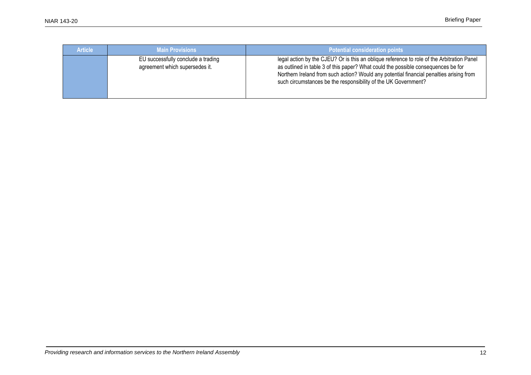| <b>Article</b> | <b>Main Provisions</b>                                               | Potential consideration points                                                                                                                                                                                                                                                                                                               |
|----------------|----------------------------------------------------------------------|----------------------------------------------------------------------------------------------------------------------------------------------------------------------------------------------------------------------------------------------------------------------------------------------------------------------------------------------|
|                | EU successfully conclude a trading<br>agreement which supersedes it. | legal action by the CJEU? Or is this an oblique reference to role of the Arbitration Panel<br>as outlined in table 3 of this paper? What could the possible consequences be for<br>Northern Ireland from such action? Would any potential financial penalties arising from<br>such circumstances be the responsibility of the UK Government? |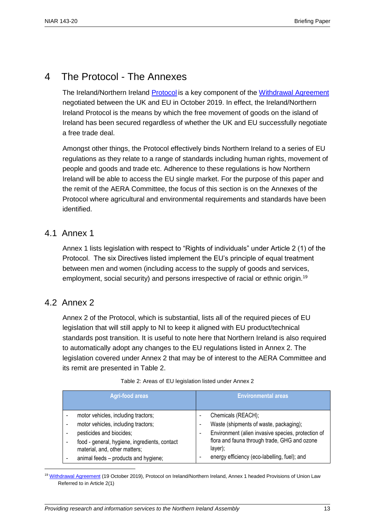## 4 The Protocol - The Annexes

The Ireland/Northern Ireland [Protocol](https://www.gov.uk/government/publications/new-protocol-on-irelandnorthern-ireland-and-political-declaration) is a key component of the [Withdrawal Agreement](file:///C:/Users/hulld/AppData/Local/Microsoft/Windows/INetCache/Content.Outlook/7WHRA9FB/%5dhttps:/assets.publishing.service.gov.uk/government/uploads/system/uploads/attachment_data/file/759019/25_November_Agreement_on_the_withdrawal_of_the_United_Kingdom_of_Great_Britain_and_Northern_Ireland_from_the_European_Union_and_the_European_Atomic_Energy_Community.pdf) negotiated between the UK and EU in October 2019. In effect, the Ireland/Northern Ireland Protocol is the means by which the free movement of goods on the island of Ireland has been secured regardless of whether the UK and EU successfully negotiate a free trade deal.

Amongst other things, the Protocol effectively binds Northern Ireland to a series of EU regulations as they relate to a range of standards including human rights, movement of people and goods and trade etc. Adherence to these regulations is how Northern Ireland will be able to access the EU single market. For the purpose of this paper and the remit of the AERA Committee, the focus of this section is on the Annexes of the Protocol where agricultural and environmental requirements and standards have been identified.

### 4.1 Annex 1

Annex 1 lists legislation with respect to "Rights of individuals" under Article 2 (1) of the Protocol. The six Directives listed implement the EU's principle of equal treatment between men and women (including access to the supply of goods and services, employment, social security) and persons irrespective of racial or ethnic origin.<sup>19</sup>

## 4.2 Annex 2

 $\overline{a}$ 

Annex 2 of the Protocol, which is substantial, lists all of the required pieces of EU legislation that will still apply to NI to keep it aligned with EU product/technical standards post transition. It is useful to note here that Northern Ireland is also required to automatically adopt any changes to the EU regulations listed in Annex 2. The legislation covered under Annex 2 that may be of interest to the AERA Committee and its remit are presented in Table 2.

| <b>Agri-food areas</b>                        | <b>Environmental areas</b>                         |
|-----------------------------------------------|----------------------------------------------------|
| motor vehicles, including tractors;           | Chemicals (REACH);                                 |
| motor vehicles, including tractors;           | Waste (shipments of waste, packaging);             |
| pesticides and biocides;                      | Environment (alien invasive species, protection of |
| food - general, hygiene, ingredients, contact | flora and fauna through trade, GHG and ozone       |
| material, and, other matters;                 | layer);                                            |
| animal feeds - products and hygiene;          | energy efficiency (eco-labelling, fuel); and       |

Table 2: Areas of EU legislation listed under Annex 2

<sup>19</sup> [Withdrawal Agreement](https://assets.publishing.service.gov.uk/government/uploads/system/uploads/attachment_data/file/840655/Agreement_on_the_withdrawal_of_the_United_Kingdom_of_Great_Britain_and_Northern_Ireland_from_the_European_Union_and_the_European_Atomic_Energy_Community.pdf) (19 October 2019), Protocol on Ireland/Northern Ireland, Annex 1 headed Provisions of Union Law Referred to in Article 2(1)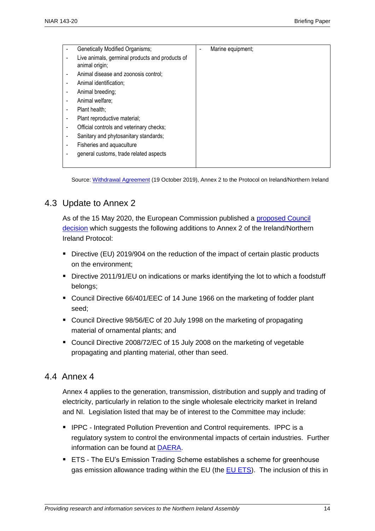| Genetically Modified Organisms;                                   | Marine equipment;<br>٠ |
|-------------------------------------------------------------------|------------------------|
| Live animals, germinal products and products of<br>animal origin; |                        |
| Animal disease and zoonosis control;                              |                        |
| Animal identification;                                            |                        |
| Animal breeding;                                                  |                        |
| Animal welfare;                                                   |                        |
| Plant health;                                                     |                        |
| Plant reproductive material;                                      |                        |
| Official controls and veterinary checks;                          |                        |
| Sanitary and phytosanitary standards;                             |                        |
| Fisheries and aquaculture                                         |                        |
| general customs, trade related aspects                            |                        |
|                                                                   |                        |

Source: [Withdrawal Agreement](https://assets.publishing.service.gov.uk/government/uploads/system/uploads/attachment_data/file/840655/Agreement_on_the_withdrawal_of_the_United_Kingdom_of_Great_Britain_and_Northern_Ireland_from_the_European_Union_and_the_European_Atomic_Energy_Community.pdf) (19 October 2019), Annex 2 to the Protocol on Ireland/Northern Ireland

## 4.3 Update to Annex 2

As of the 15 May 2020, the European Commission published a [proposed Council](https://ec.europa.eu/transparency/regdoc/rep/1/2020/EN/COM-2020-195-F1-EN-MAIN-PART-1.PDF)  [decision](https://ec.europa.eu/transparency/regdoc/rep/1/2020/EN/COM-2020-195-F1-EN-MAIN-PART-1.PDF) which suggests the following additions to Annex 2 of the Ireland/Northern Ireland Protocol:

- Directive (EU) 2019/904 on the reduction of the impact of certain plastic products on the environment;
- Directive 2011/91/EU on indications or marks identifying the lot to which a foodstuff belongs;
- Council Directive 66/401/EEC of 14 June 1966 on the marketing of fodder plant seed;
- Council Directive 98/56/EC of 20 July 1998 on the marketing of propagating material of ornamental plants; and
- Council Directive 2008/72/EC of 15 July 2008 on the marketing of vegetable propagating and planting material, other than seed.

## 4.4 Annex 4

Annex 4 applies to the generation, transmission, distribution and supply and trading of electricity, particularly in relation to the single wholesale electricity market in Ireland and NI. Legislation listed that may be of interest to the Committee may include:

- IPPC Integrated Pollution Prevention and Control requirements. IPPC is a regulatory system to control the environmental impacts of certain industries. Further information can be found at [DAERA.](https://www.daera-ni.gov.uk/articles/ippc-guidance-and-application-forms)
- ETS The EU's Emission Trading Scheme establishes a scheme for greenhouse gas emission allowance trading within the EU (the [EU ETS\)](https://ec.europa.eu/clima/policies/ets_en). The inclusion of this in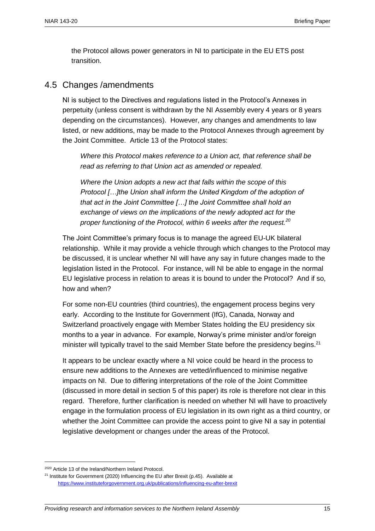the Protocol allows power generators in NI to participate in the EU ETS post transition.

## 4.5 Changes /amendments

NI is subject to the Directives and regulations listed in the Protocol's Annexes in perpetuity (unless consent is withdrawn by the NI Assembly every 4 years or 8 years depending on the circumstances). However, any changes and amendments to law listed, or new additions, may be made to the Protocol Annexes through agreement by the Joint Committee. Article 13 of the Protocol states:

*Where this Protocol makes reference to a Union act, that reference shall be read as referring to that Union act as amended or repealed.*

*Where the Union adopts a new act that falls within the scope of this Protocol […]the Union shall inform the United Kingdom of the adoption of that act in the Joint Committee […] the Joint Committee shall hold an exchange of views on the implications of the newly adopted act for the proper functioning of the Protocol, within 6 weeks after the request.<sup>20</sup>*

The Joint Committee's primary focus is to manage the agreed EU-UK bilateral relationship. While it may provide a vehicle through which changes to the Protocol may be discussed, it is unclear whether NI will have any say in future changes made to the legislation listed in the Protocol. For instance, will NI be able to engage in the normal EU legislative process in relation to areas it is bound to under the Protocol? And if so, how and when?

For some non-EU countries (third countries), the engagement process begins very early. According to the Institute for Government (IfG), Canada, Norway and Switzerland proactively engage with Member States holding the EU presidency six months to a year in advance. For example, Norway's prime minister and/or foreign minister will typically travel to the said Member State before the presidency begins.<sup>21</sup>

It appears to be unclear exactly where a NI voice could be heard in the process to ensure new additions to the Annexes are vetted/influenced to minimise negative impacts on NI. Due to differing interpretations of the role of the Joint Committee (discussed in more detail in section 5 of this paper) its role is therefore not clear in this regard. Therefore, further clarification is needed on whether NI will have to proactively engage in the formulation process of EU legislation in its own right as a third country, or whether the Joint Committee can provide the access point to give NI a say in potential legislative development or changes under the areas of the Protocol.

<sup>2020</sup> Article 13 of the Ireland/Northern Ireland Protocol.

 $21$  Institute for Government (2020) Influencing the EU after Brexit (p.45). Available at <https://www.instituteforgovernment.org.uk/publications/influencing-eu-after-brexit>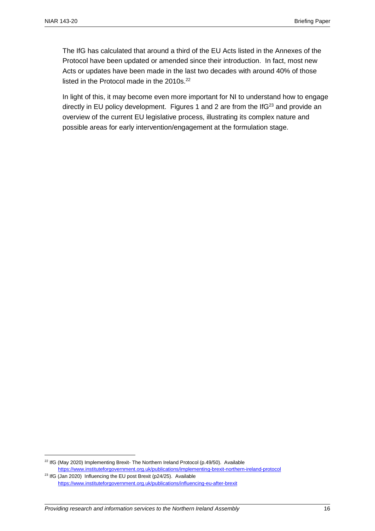The IfG has calculated that around a third of the EU Acts listed in the Annexes of the Protocol have been updated or amended since their introduction. In fact, most new Acts or updates have been made in the last two decades with around 40% of those listed in the Protocol made in the 2010s.<sup>22</sup>

In light of this, it may become even more important for NI to understand how to engage directly in EU policy development. Figures 1 and 2 are from the If $G<sup>23</sup>$  and provide an overview of the current EU legislative process, illustrating its complex nature and possible areas for early intervention/engagement at the formulation stage.

<sup>&</sup>lt;sup>22</sup> IfG (May 2020) Implementing Brexit- The Northern Ireland Protocol (p.49/50). Available <https://www.instituteforgovernment.org.uk/publications/implementing-brexit-northern-ireland-protocol>

<sup>&</sup>lt;sup>23</sup> IfG (Jan 2020) Influencing the EU post Brexit (p24/25). Available <https://www.instituteforgovernment.org.uk/publications/influencing-eu-after-brexit>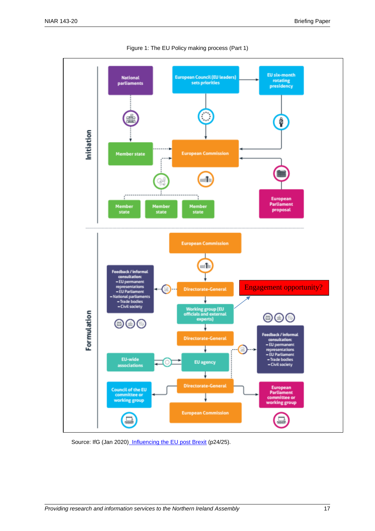

Figure 1: The EU Policy making process (Part 1)

Source: IfG (Jan 2020[\) Influencing the EU post Brexit](https://www.instituteforgovernment.org.uk/publications/influencing-eu-after-brexit) (p24/25).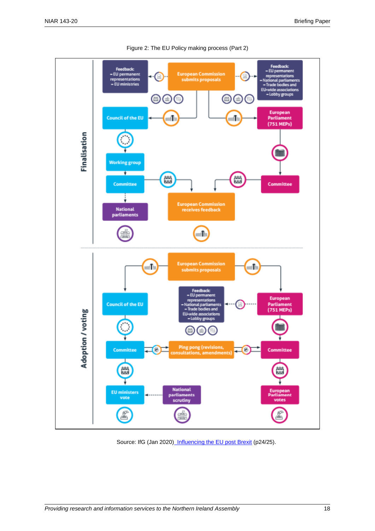

Figure 2: The EU Policy making process (Part 2)

Source: IfG (Jan 2020[\) Influencing the EU post Brexit](https://www.instituteforgovernment.org.uk/publications/influencing-eu-after-brexit) (p24/25).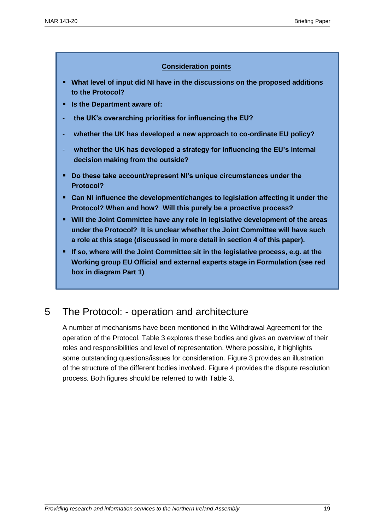#### **Consideration points**

- **What level of input did NI have in the discussions on the proposed additions to the Protocol?**
- **Is the Department aware of:**
- **the UK's overarching priorities for influencing the EU?**
- **whether the UK has developed a new approach to co-ordinate EU policy?**
- whether the UK has developed a strategy for influencing the EU's internal **decision making from the outside?**
- **Do these take account/represent NI's unique circumstances under the Protocol?**
- **Can NI influence the development/changes to legislation affecting it under the Protocol? When and how? Will this purely be a proactive process?**
- **Will the Joint Committee have any role in legislative development of the areas under the Protocol? It is unclear whether the Joint Committee will have such a role at this stage (discussed in more detail in section 4 of this paper).**
- **If so, where will the Joint Committee sit in the legislative process, e.g. at the Working group EU Official and external experts stage in Formulation (see red box in diagram Part 1)**

## 5 The Protocol: - operation and architecture

A number of mechanisms have been mentioned in the Withdrawal Agreement for the operation of the Protocol. Table 3 explores these bodies and gives an overview of their roles and responsibilities and level of representation. Where possible, it highlights some outstanding questions/issues for consideration. Figure 3 provides an illustration of the structure of the different bodies involved. Figure 4 provides the dispute resolution process. Both figures should be referred to with Table 3.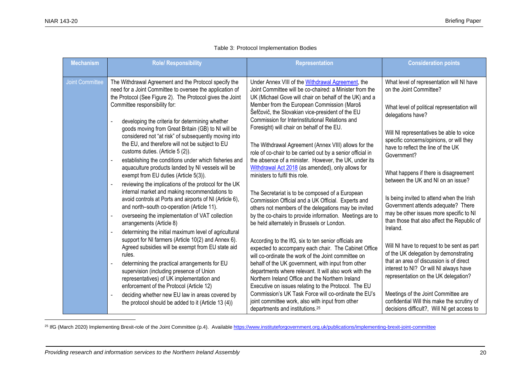| <b>Mechanism</b>       | <b>Role/ Responsibility</b>                                                                                                                                                                                                                                                  | <b>Representation</b>                                                                                                                                                                                                     | <b>Consideration points</b>                                                                                                               |
|------------------------|------------------------------------------------------------------------------------------------------------------------------------------------------------------------------------------------------------------------------------------------------------------------------|---------------------------------------------------------------------------------------------------------------------------------------------------------------------------------------------------------------------------|-------------------------------------------------------------------------------------------------------------------------------------------|
| <b>Joint Committee</b> | The Withdrawal Agreement and the Protocol specify the<br>need for a Joint Committee to oversee the application of<br>the Protocol (See Figure 2). The Protocol gives the Joint                                                                                               | Under Annex VIII of the Withdrawal Agreement, the<br>Joint Committee will be co-chaired: a Minister from the<br>UK (Michael Gove will chair on behalf of the UK) and a                                                    | What level of representation will NI have<br>on the Joint Committee?                                                                      |
|                        | Committee responsibility for:<br>developing the criteria for determining whether<br>$\overline{a}$                                                                                                                                                                           | Member from the European Commission (Maroš<br>Šefčovič, the Slovakian vice-president of the EU<br>Commission for Interinstitutional Relations and                                                                         | What level of political representation will<br>delegations have?                                                                          |
|                        | goods moving from Great Britain (GB) to NI will be<br>considered not "at risk" of subsequently moving into<br>the EU, and therefore will not be subject to EU<br>customs duties. (Article 5 (2)).<br>establishing the conditions under which fisheries and<br>$\blacksquare$ | Foresight) will chair on behalf of the EU.<br>The Withdrawal Agreement (Annex VIII) allows for the<br>role of co-chair to be carried out by a senior official in<br>the absence of a minister. However, the UK, under its | Will NI representatives be able to voice<br>specific concerns/opinions, or will they<br>have to reflect the line of the UK<br>Government? |
|                        | aquaculture products landed by NI vessels will be<br>exempt from EU duties (Article 5(3)).<br>reviewing the implications of the protocol for the UK<br>$\blacksquare$                                                                                                        | Withdrawal Act 2018 (as amended), only allows for<br>ministers to fulfil this role.                                                                                                                                       | What happens if there is disagreement<br>between the UK and NI on an issue?                                                               |
|                        | internal market and making recommendations to<br>avoid controls at Ports and airports of NI (Article 6),<br>and north-south co-operation (Article 11).                                                                                                                       | The Secretariat is to be composed of a European<br>Commission Official and a UK Official. Experts and<br>others not members of the delegations may be invited                                                             | Is being invited to attend when the Irish<br>Government attends adequate? There<br>may be other issues more specific to NI                |
|                        | overseeing the implementation of VAT collection<br>$\blacksquare$<br>arrangements (Article 8)<br>determining the initial maximum level of agricultural<br>$\overline{\phantom{a}}$                                                                                           | by the co-chairs to provide information. Meetings are to<br>be held alternately in Brussels or London.                                                                                                                    | than those that also affect the Republic of<br>Ireland.                                                                                   |
|                        | support for NI farmers (Article 10(2) and Annex 6).<br>Agreed subsidies will be exempt from EU state aid<br>rules.                                                                                                                                                           | According to the IfG, six to ten senior officials are<br>expected to accompany each chair. The Cabinet Office<br>will co-ordinate the work of the Joint committee on                                                      | Will NI have to request to be sent as part<br>of the UK delegation by demonstrating                                                       |
|                        | determining the practical arrangements for EU<br>$\sim$<br>supervision (including presence of Union<br>representatives) of UK implementation and<br>enforcement of the Protocol (Article 12)                                                                                 | behalf of the UK government, with input from other<br>departments where relevant. It will also work with the<br>Northern Ireland Office and the Northern Ireland<br>Executive on issues relating to the Protocol. The EU  | that an area of discussion is of direct<br>interest to NI? Or will NI always have<br>representation on the UK delegation?                 |
|                        | deciding whether new EU law in areas covered by<br>$\overline{\phantom{a}}$<br>the protocol should be added to it (Article 13 (4))                                                                                                                                           | Commission's UK Task Force will co-ordinate the EU's<br>joint committee work, also with input from other<br>departments and institutions. <sup>25</sup>                                                                   | Meetings of the Joint Committee are<br>confidential Will this make the scrutiny of<br>decisions difficult?, Will NI get access to         |

#### Table 3: Protocol Implementation Bodies

<sup>25</sup> IfG (March 2020) Implementing Brexit-role of the Joint Committee (p.4). Availabl[e https://www.instituteforgovernment.org.uk/publications/implementing-brexit-joint-committee](https://www.instituteforgovernment.org.uk/publications/implementing-brexit-joint-committee)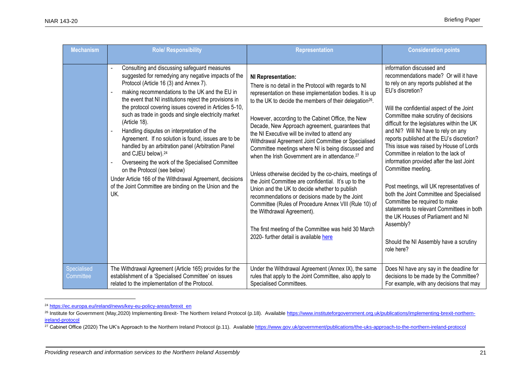| <b>Mechanism</b>         | <b>Role/ Responsibility</b>                                                                                                                                                                                                                                                                                                                                                                                                                                                                                                                                                                                                                                                                                                                                                                                  | <b>Representation</b>                                                                                                                                                                                                                                                                                                                                                                                                                                                                                                                                                                                                                                                                                                                                                                                                                                                                                                                                            | <b>Consideration points</b>                                                                                                                                                                                                                                                                                                                                                                                                                                                                                                                                                                                                                                                                                                                                                                        |
|--------------------------|--------------------------------------------------------------------------------------------------------------------------------------------------------------------------------------------------------------------------------------------------------------------------------------------------------------------------------------------------------------------------------------------------------------------------------------------------------------------------------------------------------------------------------------------------------------------------------------------------------------------------------------------------------------------------------------------------------------------------------------------------------------------------------------------------------------|------------------------------------------------------------------------------------------------------------------------------------------------------------------------------------------------------------------------------------------------------------------------------------------------------------------------------------------------------------------------------------------------------------------------------------------------------------------------------------------------------------------------------------------------------------------------------------------------------------------------------------------------------------------------------------------------------------------------------------------------------------------------------------------------------------------------------------------------------------------------------------------------------------------------------------------------------------------|----------------------------------------------------------------------------------------------------------------------------------------------------------------------------------------------------------------------------------------------------------------------------------------------------------------------------------------------------------------------------------------------------------------------------------------------------------------------------------------------------------------------------------------------------------------------------------------------------------------------------------------------------------------------------------------------------------------------------------------------------------------------------------------------------|
|                          | Consulting and discussing safeguard measures<br>suggested for remedying any negative impacts of the<br>Protocol (Article 16 (3) and Annex 7).<br>making recommendations to the UK and the EU in<br>the event that NI institutions reject the provisions in<br>the protocol covering issues covered in Articles 5-10,<br>such as trade in goods and single electricity market<br>(Article 18).<br>Handling disputes on interpretation of the<br>Agreement. If no solution is found, issues are to be<br>handled by an arbitration panel (Arbitration Panel<br>and CJEU below). <sup>24</sup><br>Overseeing the work of the Specialised Committee<br>on the Protocol (see below)<br>Under Article 166 of the Withdrawal Agreement, decisions<br>of the Joint Committee are binding on the Union and the<br>UK. | NI Representation:<br>There is no detail in the Protocol with regards to NI<br>representation on these implementation bodies. It is up<br>to the UK to decide the members of their delegation <sup>26</sup> .<br>However, according to the Cabinet Office, the New<br>Decade, New Approach agreement, guarantees that<br>the NI Executive will be invited to attend any<br>Withdrawal Agreement Joint Committee or Specialised<br>Committee meetings where NI is being discussed and<br>when the Irish Government are in attendance. <sup>27</sup><br>Unless otherwise decided by the co-chairs, meetings of<br>the Joint Committee are confidential. It's up to the<br>Union and the UK to decide whether to publish<br>recommendations or decisions made by the Joint<br>Committee (Rules of Procedure Annex VIII (Rule 10) of<br>the Withdrawal Agreement).<br>The first meeting of the Committee was held 30 March<br>2020- further detail is available here | information discussed and<br>recommendations made? Or will it have<br>to rely on any reports published at the<br>EU's discretion?<br>Will the confidential aspect of the Joint<br>Committee make scrutiny of decisions<br>difficult for the legislatures within the UK<br>and NI? Will NI have to rely on any<br>reports published at the EU's discretion?<br>This issue was raised by House of Lords<br>Committee in relation to the lack of<br>information provided after the last Joint<br>Committee meeting.<br>Post meetings, will UK representatives of<br>both the Joint Committee and Specialised<br>Committee be required to make<br>statements to relevant Committees in both<br>the UK Houses of Parliament and NI<br>Assembly?<br>Should the NI Assembly have a scrutiny<br>role here? |
| Specialised<br>Committee | The Withdrawal Agreement (Article 165) provides for the<br>establishment of a 'Specialised Committee' on issues<br>related to the implementation of the Protocol.                                                                                                                                                                                                                                                                                                                                                                                                                                                                                                                                                                                                                                            | Under the Withdrawal Agreement (Annex IX), the same<br>rules that apply to the Joint Committee, also apply to<br>Specialised Committees.                                                                                                                                                                                                                                                                                                                                                                                                                                                                                                                                                                                                                                                                                                                                                                                                                         | Does NI have any say in the deadline for<br>decisions to be made by the Committee?<br>For example, with any decisions that may                                                                                                                                                                                                                                                                                                                                                                                                                                                                                                                                                                                                                                                                     |

<sup>&</sup>lt;sup>24</sup> [https://ec.europa.eu/ireland/news/key-eu-policy-areas/brexit\\_en](https://ec.europa.eu/ireland/news/key-eu-policy-areas/brexit_en)

<sup>&</sup>lt;sup>26</sup> Institute for Government (May,2020) Implementing Brexit- The Northern Ireland Protocol (p.18). Available [https://www.instituteforgovernment.org.uk/publications/implementing-brexit-northern](https://www.instituteforgovernment.org.uk/publications/implementing-brexit-northern-ireland-protocol)[ireland-protocol](https://www.instituteforgovernment.org.uk/publications/implementing-brexit-northern-ireland-protocol)

<sup>&</sup>lt;sup>27</sup> Cabinet Office (2020) The UK's Approach to the Northern Ireland Protocol (p.11). Availabl[e https://www.gov.uk/government/publications/the-uks-approach-to-the-northern-ireland-protocol](https://www.gov.uk/government/publications/the-uks-approach-to-the-northern-ireland-protocol)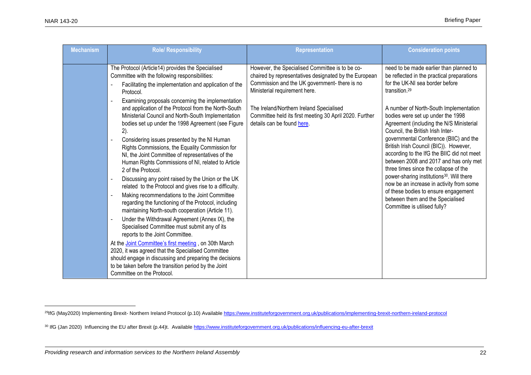| <b>Mechanism</b> | <b>Role/ Responsibility</b>                                                                                                                                                                                                                                                                                                                                                                                                                                                                                                                                                                                                        | Representation                                                                                                                                                                             | <b>Consideration points</b>                                                                                                                                                                                                                                                                                                                                                                                                                                                                                                    |
|------------------|------------------------------------------------------------------------------------------------------------------------------------------------------------------------------------------------------------------------------------------------------------------------------------------------------------------------------------------------------------------------------------------------------------------------------------------------------------------------------------------------------------------------------------------------------------------------------------------------------------------------------------|--------------------------------------------------------------------------------------------------------------------------------------------------------------------------------------------|--------------------------------------------------------------------------------------------------------------------------------------------------------------------------------------------------------------------------------------------------------------------------------------------------------------------------------------------------------------------------------------------------------------------------------------------------------------------------------------------------------------------------------|
|                  |                                                                                                                                                                                                                                                                                                                                                                                                                                                                                                                                                                                                                                    |                                                                                                                                                                                            |                                                                                                                                                                                                                                                                                                                                                                                                                                                                                                                                |
|                  | The Protocol (Article14) provides the Specialised<br>Committee with the following responsibilities:<br>Facilitating the implementation and application of the<br>Protocol.                                                                                                                                                                                                                                                                                                                                                                                                                                                         | However, the Specialised Committee is to be co-<br>chaired by representatives designated by the European<br>Commission and the UK government- there is no<br>Ministerial requirement here. | need to be made earlier than planned to<br>be reflected in the practical preparations<br>for the UK-NI sea border before<br>transition. <sup>29</sup>                                                                                                                                                                                                                                                                                                                                                                          |
|                  | Examining proposals concerning the implementation<br>and application of the Protocol from the North-South<br>Ministerial Council and North-South Implementation<br>bodies set up under the 1998 Agreement (see Figure<br>2).<br>Considering issues presented by the NI Human<br>Rights Commissions, the Equality Commission for<br>NI, the Joint Committee of representatives of the<br>Human Rights Commissions of NI, related to Article<br>2 of the Protocol.<br>Discussing any point raised by the Union or the UK<br>related to the Protocol and gives rise to a difficulty.<br>Making recommendations to the Joint Committee | The Ireland/Northern Ireland Specialised<br>Committee held its first meeting 30 April 2020. Further<br>details can be found here.                                                          | A number of North-South Implementation<br>bodies were set up under the 1998<br>Agreement (including the N/S Ministerial<br>Council, the British Irish Inter-<br>governmental Conference (BIIC) and the<br>British Irish Council (BIC)). However,<br>according to the IfG the BIIC did not meet<br>between 2008 and 2017 and has only met<br>three times since the collapse of the<br>power-sharing institutions <sup>30</sup> . Will there<br>now be an increase in activity from some<br>of these bodies to ensure engagement |
|                  | regarding the functioning of the Protocol, including<br>maintaining North-south cooperation (Article 11).<br>Under the Withdrawal Agreement (Annex IX), the<br>Specialised Committee must submit any of its<br>reports to the Joint Committee.<br>At the Joint Committee's first meeting, on 30th March<br>2020, it was agreed that the Specialised Committee<br>should engage in discussing and preparing the decisions<br>to be taken before the transition period by the Joint<br>Committee on the Protocol.                                                                                                                    |                                                                                                                                                                                            | between them and the Specialised<br>Committee is utilised fully?                                                                                                                                                                                                                                                                                                                                                                                                                                                               |

<sup>&</sup>lt;sup>29</sup>IfG (May2020) Implementing Brexit- Northern Ireland Protocol (p.10) Available<https://www.instituteforgovernment.org.uk/publications/implementing-brexit-northern-ireland-protocol>

<sup>&</sup>lt;sup>30</sup> IfG (Jan 2020) Influencing the EU after Brexit (p.44)t. Available<https://www.instituteforgovernment.org.uk/publications/influencing-eu-after-brexit>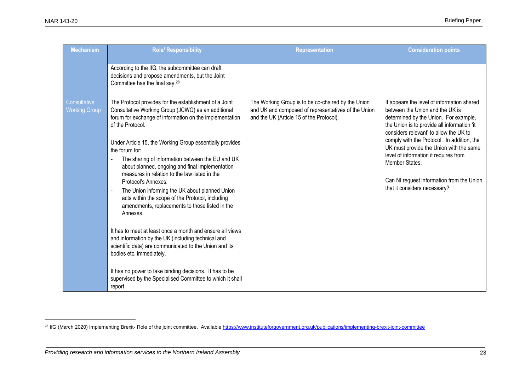| <b>Mechanism</b>                     | <b>Role/ Responsibility</b>                                                                                                                                                                                                                                                                                                                                                                                                                                                                                                                                                                                                                                                                                                                                                                                                                                                                                                                                               | <b>Representation</b>                                                                                                                                 | <b>Consideration points</b>                                                                                                                                                                                                                                                                                                                                                                                                                      |
|--------------------------------------|---------------------------------------------------------------------------------------------------------------------------------------------------------------------------------------------------------------------------------------------------------------------------------------------------------------------------------------------------------------------------------------------------------------------------------------------------------------------------------------------------------------------------------------------------------------------------------------------------------------------------------------------------------------------------------------------------------------------------------------------------------------------------------------------------------------------------------------------------------------------------------------------------------------------------------------------------------------------------|-------------------------------------------------------------------------------------------------------------------------------------------------------|--------------------------------------------------------------------------------------------------------------------------------------------------------------------------------------------------------------------------------------------------------------------------------------------------------------------------------------------------------------------------------------------------------------------------------------------------|
|                                      | According to the IfG, the subcommittee can draft<br>decisions and propose amendments, but the Joint<br>Committee has the final say. <sup>28</sup>                                                                                                                                                                                                                                                                                                                                                                                                                                                                                                                                                                                                                                                                                                                                                                                                                         |                                                                                                                                                       |                                                                                                                                                                                                                                                                                                                                                                                                                                                  |
| Consultative<br><b>Working Group</b> | The Protocol provides for the establishment of a Joint<br>Consultative Working Group (JCWG) as an additional<br>forum for exchange of information on the implementation<br>of the Protocol.<br>Under Article 15, the Working Group essentially provides<br>the forum for:<br>The sharing of information between the EU and UK<br>about planned, ongoing and final implementation<br>measures in relation to the law listed in the<br>Protocol's Annexes.<br>The Union informing the UK about planned Union<br>acts within the scope of the Protocol, including<br>amendments, replacements to those listed in the<br>Annexes.<br>It has to meet at least once a month and ensure all views<br>and information by the UK (including technical and<br>scientific data) are communicated to the Union and its<br>bodies etc. immediately.<br>It has no power to take binding decisions. It has to be<br>supervised by the Specialised Committee to which it shall<br>report. | The Working Group is to be co-chaired by the Union<br>and UK and composed of representatives of the Union<br>and the UK (Article 15 of the Protocol). | It appears the level of information shared<br>between the Union and the UK is<br>determined by the Union. For example,<br>the Union is to provide all information 'it<br>considers relevant' to allow the UK to<br>comply with the Protocol. In addition, the<br>UK must provide the Union with the same<br>level of information it requires from<br>Member States.<br>Can NI request information from the Union<br>that it considers necessary? |

<sup>&</sup>lt;sup>28</sup> IfG (March 2020) Implementing Brexit- Role of the joint committee. Available <https://www.instituteforgovernment.org.uk/publications/implementing-brexit-joint-committee>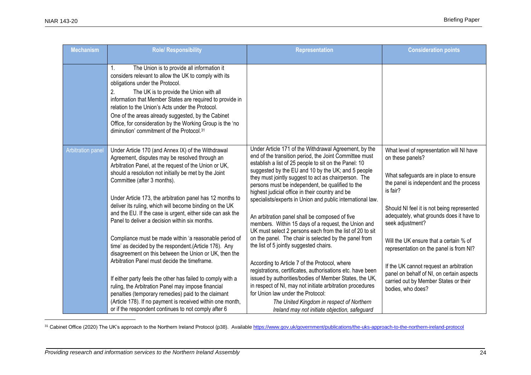| <b>Mechanism</b>         | <b>Role/ Responsibility</b>                                                                                                                                                                                                                                                                                                                                                                                                                                                                   | <b>Representation</b>                                                                                                                                                                                                                                                                                                                                                                                                                                                                                                                                                                                                            | <b>Consideration points</b>                                                                                                                                                                                                                                                   |
|--------------------------|-----------------------------------------------------------------------------------------------------------------------------------------------------------------------------------------------------------------------------------------------------------------------------------------------------------------------------------------------------------------------------------------------------------------------------------------------------------------------------------------------|----------------------------------------------------------------------------------------------------------------------------------------------------------------------------------------------------------------------------------------------------------------------------------------------------------------------------------------------------------------------------------------------------------------------------------------------------------------------------------------------------------------------------------------------------------------------------------------------------------------------------------|-------------------------------------------------------------------------------------------------------------------------------------------------------------------------------------------------------------------------------------------------------------------------------|
|                          | 1.<br>The Union is to provide all information it<br>considers relevant to allow the UK to comply with its<br>obligations under the Protocol.<br>2.<br>The UK is to provide the Union with all<br>information that Member States are required to provide in<br>relation to the Union's Acts under the Protocol.<br>One of the areas already suggested, by the Cabinet<br>Office, for consideration by the Working Group is the 'no<br>diminution' commitment of the Protocol. <sup>31</sup>    |                                                                                                                                                                                                                                                                                                                                                                                                                                                                                                                                                                                                                                  |                                                                                                                                                                                                                                                                               |
| <b>Arbitration panel</b> | Under Article 170 (and Annex IX) of the Withdrawal<br>Agreement, disputes may be resolved through an<br>Arbitration Panel, at the request of the Union or UK,<br>should a resolution not initially be met by the Joint<br>Committee (after 3 months).<br>Under Article 173, the arbitration panel has 12 months to<br>deliver its ruling, which will become binding on the UK<br>and the EU. If the case is urgent, either side can ask the<br>Panel to deliver a decision within six months. | Under Article 171 of the Withdrawal Agreement, by the<br>end of the transition period, the Joint Committee must<br>establish a list of 25 people to sit on the Panel: 10<br>suggested by the EU and 10 by the UK; and 5 people<br>they must jointly suggest to act as chairperson. The<br>persons must be independent, be qualified to the<br>highest judicial office in their country and be<br>specialists/experts in Union and public international law.<br>An arbitration panel shall be composed of five<br>members. Within 15 days of a request, the Union and<br>UK must select 2 persons each from the list of 20 to sit | What level of representation will NI have<br>on these panels?<br>What safeguards are in place to ensure<br>the panel is independent and the process<br>is fair?<br>Should NI feel it is not being represented<br>adequately, what grounds does it have to<br>seek adjustment? |
|                          | Compliance must be made within 'a reasonable period of<br>time' as decided by the respondent.(Article 176). Any<br>disagreement on this between the Union or UK, then the                                                                                                                                                                                                                                                                                                                     | on the panel. The chair is selected by the panel from<br>the list of 5 jointly suggested chairs.                                                                                                                                                                                                                                                                                                                                                                                                                                                                                                                                 | Will the UK ensure that a certain % of<br>representation on the panel is from NI?                                                                                                                                                                                             |
|                          | Arbitration Panel must decide the timeframe.<br>If either party feels the other has failed to comply with a<br>ruling, the Arbitration Panel may impose financial<br>penalties (temporary remedies) paid to the claimant                                                                                                                                                                                                                                                                      | According to Article 7 of the Protocol, where<br>registrations, certificates, authorisations etc. have been<br>issued by authorities/bodies of Member States, the UK,<br>in respect of NI, may not initiate arbitration procedures<br>for Union law under the Protocol:                                                                                                                                                                                                                                                                                                                                                          | If the UK cannot request an arbitration<br>panel on behalf of NI, on certain aspects<br>carried out by Member States or their<br>bodies, who does?                                                                                                                            |
|                          | (Article 178). If no payment is received within one month,<br>or if the respondent continues to not comply after 6                                                                                                                                                                                                                                                                                                                                                                            | The United Kingdom in respect of Northern<br>Ireland may not initiate objection, safeguard                                                                                                                                                                                                                                                                                                                                                                                                                                                                                                                                       |                                                                                                                                                                                                                                                                               |

<sup>31</sup> Cabinet Office (2020) The UK's approach to the Northern Ireland Protocol (p38). Availabl[e https://www.gov.uk/government/publications/the-uks-approach-to-the-northern-ireland-protocol](https://www.gov.uk/government/publications/the-uks-approach-to-the-northern-ireland-protocol)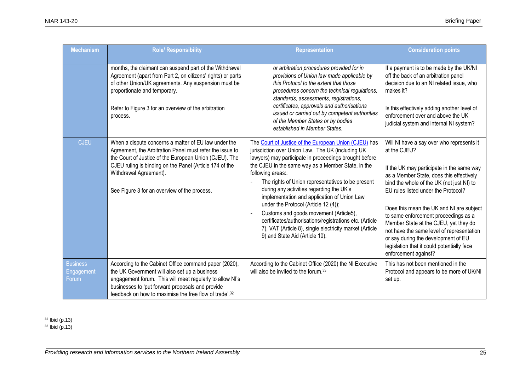| <b>Mechanism</b>                       | <b>Role/ Responsibility</b>                                                                                                                                                                                                                                                                                     | <b>Representation</b>                                                                                                                                                                                                                                                                                                                                                                                                                                                                                                                                                                                                                     | <b>Consideration points</b>                                                                                                                                                                                                                                                                                                                                                                                                                                                                                                   |
|----------------------------------------|-----------------------------------------------------------------------------------------------------------------------------------------------------------------------------------------------------------------------------------------------------------------------------------------------------------------|-------------------------------------------------------------------------------------------------------------------------------------------------------------------------------------------------------------------------------------------------------------------------------------------------------------------------------------------------------------------------------------------------------------------------------------------------------------------------------------------------------------------------------------------------------------------------------------------------------------------------------------------|-------------------------------------------------------------------------------------------------------------------------------------------------------------------------------------------------------------------------------------------------------------------------------------------------------------------------------------------------------------------------------------------------------------------------------------------------------------------------------------------------------------------------------|
|                                        | months, the claimant can suspend part of the Withdrawal<br>Agreement (apart from Part 2, on citizens' rights) or parts<br>of other Union/UK agreements. Any suspension must be<br>proportionate and temporary.<br>Refer to Figure 3 for an overview of the arbitration<br>process.                              | or arbitration procedures provided for in<br>provisions of Union law made applicable by<br>this Protocol to the extent that those<br>procedures concern the technical regulations,<br>standards, assessments, registrations,<br>certificates, approvals and authorisations<br>issued or carried out by competent authorities<br>of the Member States or by bodies<br>established in Member States.                                                                                                                                                                                                                                        | If a payment is to be made by the UK/NI<br>off the back of an arbitration panel<br>decision due to an NI related issue, who<br>makes it?<br>Is this effectively adding another level of<br>enforcement over and above the UK<br>judicial system and internal NI system?                                                                                                                                                                                                                                                       |
| <b>CJEU</b>                            | When a dispute concerns a matter of EU law under the<br>Agreement, the Arbitration Panel must refer the issue to<br>the Court of Justice of the European Union (CJEU). The<br>CJEU ruling is binding on the Panel (Article 174 of the<br>Withdrawal Agreement).<br>See Figure 3 for an overview of the process. | The Court of Justice of the European Union (CJEU) has<br>jurisdiction over Union Law. The UK (including UK<br>lawyers) may participate in proceedings brought before<br>the CJEU in the same way as a Member State, in the<br>following areas:.<br>The rights of Union representatives to be present<br>during any activities regarding the UK's<br>implementation and application of Union Law<br>under the Protocol (Article 12 (4));<br>Customs and goods movement (Article5),<br>certificates/authorisations/registrations etc. (Article<br>7), VAT (Article 8), single electricity market (Article<br>9) and State Aid (Article 10). | Will NI have a say over who represents it<br>at the CJEU?<br>If the UK may participate in the same way<br>as a Member State, does this effectively<br>bind the whole of the UK (not just NI) to<br>EU rules listed under the Protocol?<br>Does this mean the UK and NI are subject<br>to same enforcement proceedings as a<br>Member State at the CJEU, yet they do<br>not have the same level of representation<br>or say during the development of EU<br>legislation that it could potentially face<br>enforcement against? |
| <b>Business</b><br>Engagement<br>Forum | According to the Cabinet Office command paper (2020),<br>the UK Government will also set up a business<br>engagement forum. This will meet regularly to allow NI's<br>businesses to 'put forward proposals and provide<br>feedback on how to maximise the free flow of trade'. <sup>32</sup>                    | According to the Cabinet Office (2020) the NI Executive<br>will also be invited to the forum. <sup>33</sup>                                                                                                                                                                                                                                                                                                                                                                                                                                                                                                                               | This has not been mentioned in the<br>Protocol and appears to be more of UK/NI<br>set up.                                                                                                                                                                                                                                                                                                                                                                                                                                     |

 $32$  Ibid (p.13)

 $33$  Ibid (p.13)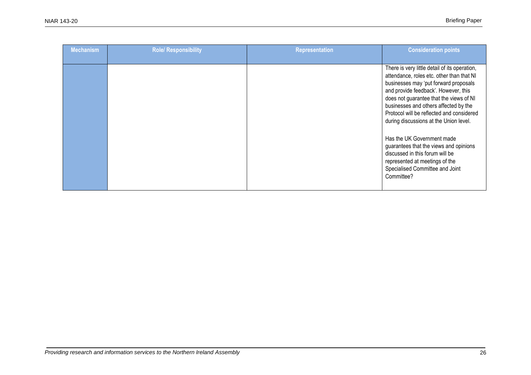| <b>Mechanism</b> | <b>Role/ Responsibility</b> | <b>Representation</b> | <b>Consideration points</b>                                                                                                                                                                                                                                                                                                                                                                                                                                                                                                                          |
|------------------|-----------------------------|-----------------------|------------------------------------------------------------------------------------------------------------------------------------------------------------------------------------------------------------------------------------------------------------------------------------------------------------------------------------------------------------------------------------------------------------------------------------------------------------------------------------------------------------------------------------------------------|
|                  |                             |                       | There is very little detail of its operation,<br>attendance, roles etc. other than that NI<br>businesses may 'put forward proposals<br>and provide feedback'. However, this<br>does not guarantee that the views of NI<br>businesses and others affected by the<br>Protocol will be reflected and considered<br>during discussions at the Union level.<br>Has the UK Government made<br>guarantees that the views and opinions<br>discussed in this forum will be<br>represented at meetings of the<br>Specialised Committee and Joint<br>Committee? |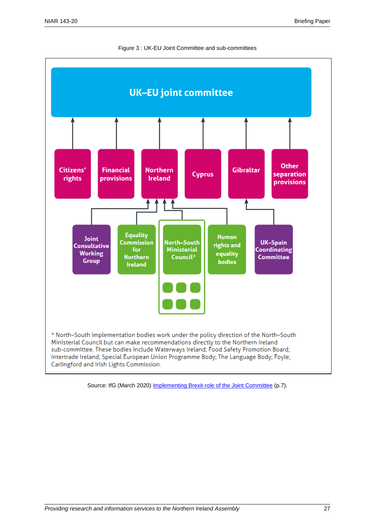



Source: IfG (March 2020) [Implementing Brexit-role of the Joint Committee](https://www.instituteforgovernment.org.uk/publications/implementing-brexit-joint-committee) (p.7).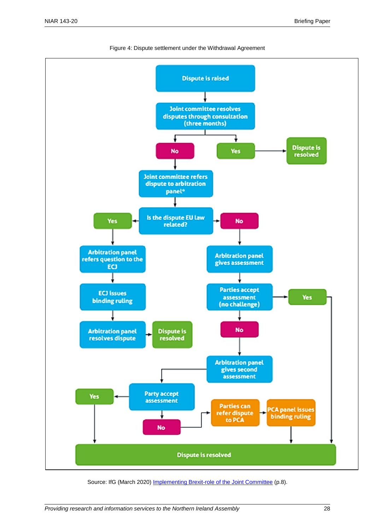

Figure 4: Dispute settlement under the Withdrawal Agreement

Source: IfG (March 2020) [Implementing Brexit-role of the Joint Committee](https://www.instituteforgovernment.org.uk/publications/implementing-brexit-joint-committee) (p.8).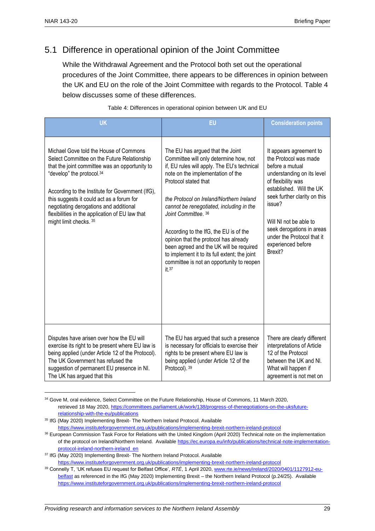## 5.1 Difference in operational opinion of the Joint Committee

While the Withdrawal Agreement and the Protocol both set out the operational procedures of the Joint Committee, there appears to be differences in opinion between the UK and EU on the role of the Joint Committee with regards to the Protocol. Table 4 below discusses some of these differences.

| <b>UK</b>                                                                                                                                                                                                                                                                                                                                                                                    | EU                                                                                                                                                                                                                                                                                                                                                                                                                                                                                                                                         | <b>Consideration points</b>                                                                                                                                                                                                                                                                                         |
|----------------------------------------------------------------------------------------------------------------------------------------------------------------------------------------------------------------------------------------------------------------------------------------------------------------------------------------------------------------------------------------------|--------------------------------------------------------------------------------------------------------------------------------------------------------------------------------------------------------------------------------------------------------------------------------------------------------------------------------------------------------------------------------------------------------------------------------------------------------------------------------------------------------------------------------------------|---------------------------------------------------------------------------------------------------------------------------------------------------------------------------------------------------------------------------------------------------------------------------------------------------------------------|
| Michael Gove told the House of Commons<br>Select Committee on the Future Relationship<br>that the joint committee was an opportunity to<br>"develop" the protocol.34<br>According to the Institute for Government (IfG),<br>this suggests it could act as a forum for<br>negotiating derogations and additional<br>flexibilities in the application of EU law that<br>might limit checks. 35 | The EU has argued that the Joint<br>Committee will only determine how, not<br>if, EU rules will apply. The EU's technical<br>note on the implementation of the<br>Protocol stated that<br>the Protocol on Ireland/Northern Ireland<br>cannot be renegotiated, including in the<br>Joint Committee, 36<br>According to the IfG, the EU is of the<br>opinion that the protocol has already<br>been agreed and the UK will be required<br>to implement it to its full extent; the joint<br>committee is not an opportunity to reopen<br>it.37 | It appears agreement to<br>the Protocol was made<br>before a mutual<br>understanding on its level<br>of flexibility was<br>established. Will the UK<br>seek further clarity on this<br>issue?<br>Will NI not be able to<br>seek derogations in areas<br>under the Protocol that it<br>experienced before<br>Brexit? |
| Disputes have arisen over how the EU will<br>exercise its right to be present where EU law is<br>being applied (under Article 12 of the Protocol).<br>The UK Government has refused the<br>suggestion of permanent EU presence in NI.<br>The UK has argued that this                                                                                                                         | The EU has argued that such a presence<br>is necessary for officials to exercise their<br>rights to be present where EU law is<br>being applied (under Article 12 of the<br>Protocol). 39                                                                                                                                                                                                                                                                                                                                                  | There are clearly different<br>interpretations of Article<br>12 of the Protocol<br>between the UK and NI.<br>What will happen if<br>agreement is not met on                                                                                                                                                         |

Table 4: Differences in operational opinion between UK and EU

<sup>34</sup> Gove M, oral evidence, Select Committee on the Future Relationship, House of Commons, 11 March 2020, retrieved 18 May 2020, [https://committees.parliament.uk/work/138/progress-of-thenegotiations-on-the-uksfuture](https://committees.parliament.uk/work/138/progress-of-thenegotiations-on-the-uksfuture-relationship-with-the-eu/publications)[relationship-with-the-eu/publications](https://committees.parliament.uk/work/138/progress-of-thenegotiations-on-the-uksfuture-relationship-with-the-eu/publications)

<sup>&</sup>lt;sup>35</sup> IfG (May 2020) Implementing Brexit- The Northern Ireland Protocol. Available <https://www.instituteforgovernment.org.uk/publications/implementing-brexit-northern-ireland-protocol>

<sup>36</sup> European Commission Task Force for Relations with the United Kingdom (April 2020) Technical note on the implementation of the protocol on Ireland/Northern Ireland. Available [https://ec.europa.eu/info/publications/technical-note-implementation](https://ec.europa.eu/info/publications/technical-note-implementation-protocol-ireland-northern-ireland_en)[protocol-ireland-northern-ireland\\_en](https://ec.europa.eu/info/publications/technical-note-implementation-protocol-ireland-northern-ireland_en)

<sup>&</sup>lt;sup>37</sup> IfG (May 2020) Implementing Brexit- The Northern Ireland Protocol. Available <https://www.instituteforgovernment.org.uk/publications/implementing-brexit-northern-ireland-protocol>

<sup>39</sup> Connelly T, 'UK refuses EU request for Belfast Office', *RTÉ*, 1 April 2020, [www.rte.ie/news/ireland/2020/0401/1127912-eu](http://www.rte.ie/news/ireland/2020/0401/1127912-eu-belfast)[belfast](http://www.rte.ie/news/ireland/2020/0401/1127912-eu-belfast) as referenced in the IfG (May 2020) Implementing Brexit – the Northern Ireland Protocol (p.24/25). Available <https://www.instituteforgovernment.org.uk/publications/implementing-brexit-northern-ireland-protocol>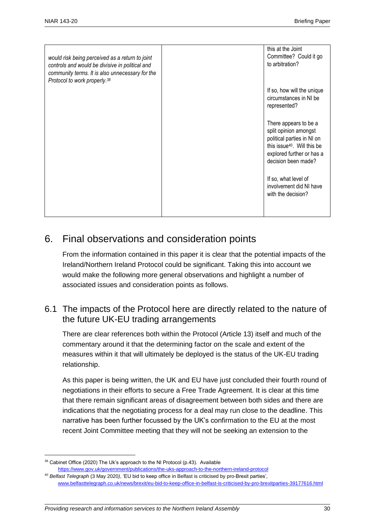| would risk being perceived as a return to joint<br>controls and would be divisive in political and<br>community terms. It is also unnecessary for the<br>Protocol to work properly. <sup>38</sup> | this at the Joint<br>Committee? Could it go<br>to arbitration?                                                                                                              |
|---------------------------------------------------------------------------------------------------------------------------------------------------------------------------------------------------|-----------------------------------------------------------------------------------------------------------------------------------------------------------------------------|
|                                                                                                                                                                                                   | If so, how will the unique<br>circumstances in NI be<br>represented?                                                                                                        |
|                                                                                                                                                                                                   | There appears to be a<br>split opinion amongst<br>political parties in NI on<br>this issue <sup>40</sup> . Will this be<br>explored further or has a<br>decision been made? |
|                                                                                                                                                                                                   | If so, what level of<br>involvement did NI have<br>with the decision?                                                                                                       |

## 6. Final observations and consideration points

From the information contained in this paper it is clear that the potential impacts of the Ireland/Northern Ireland Protocol could be significant. Taking this into account we would make the following more general observations and highlight a number of associated issues and consideration points as follows.

## 6.1 The impacts of the Protocol here are directly related to the nature of the future UK-EU trading arrangements

There are clear references both within the Protocol (Article 13) itself and much of the commentary around it that the determining factor on the scale and extent of the measures within it that will ultimately be deployed is the status of the UK-EU trading relationship.

As this paper is being written, the UK and EU have just concluded their fourth round of negotiations in their efforts to secure a Free Trade Agreement. It is clear at this time that there remain significant areas of disagreement between both sides and there are indications that the negotiating process for a deal may run close to the deadline. This narrative has been further focussed by the UK's confirmation to the EU at the most recent Joint Committee meeting that they will not be seeking an extension to the

 $38$  Cabinet Office (2020) The Uk's approach to the NI Protocol (p.43). Available <https://www.gov.uk/government/publications/the-uks-approach-to-the-northern-ireland-protocol>

<sup>40</sup> *Belfast Telegraph* (3 May 2020*)*, 'EU bid to keep office in Belfast is criticised by pro-Brexit parties', [www.belfasttelegraph.co.uk/news/brexit/eu-bid-to-keep-office-in-belfast-is-criticised-by-pro-brexitparties-39177616.html](http://www.belfasttelegraph.co.uk/news/brexit/eu-bid-to-keep-office-in-belfast-is-criticised-by-pro-brexitparties-39177616.html)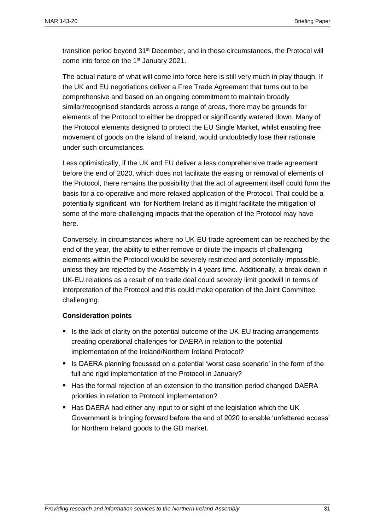transition period beyond 31<sup>st</sup> December, and in these circumstances, the Protocol will come into force on the 1<sup>st</sup> January 2021.

The actual nature of what will come into force here is still very much in play though. If the UK and EU negotiations deliver a Free Trade Agreement that turns out to be comprehensive and based on an ongoing commitment to maintain broadly similar/recognised standards across a range of areas, there may be grounds for elements of the Protocol to either be dropped or significantly watered down. Many of the Protocol elements designed to protect the EU Single Market, whilst enabling free movement of goods on the island of Ireland, would undoubtedly lose their rationale under such circumstances.

Less optimistically, if the UK and EU deliver a less comprehensive trade agreement before the end of 2020, which does not facilitate the easing or removal of elements of the Protocol, there remains the possibility that the act of agreement itself could form the basis for a co-operative and more relaxed application of the Protocol. That could be a potentially significant 'win' for Northern Ireland as it might facilitate the mitigation of some of the more challenging impacts that the operation of the Protocol may have here.

Conversely, in circumstances where no UK-EU trade agreement can be reached by the end of the year, the ability to either remove or dilute the impacts of challenging elements within the Protocol would be severely restricted and potentially impossible, unless they are rejected by the Assembly in 4 years time. Additionally, a break down in UK-EU relations as a result of no trade deal could severely limit goodwill in terms of interpretation of the Protocol and this could make operation of the Joint Committee challenging.

#### **Consideration points**

- Is the lack of clarity on the potential outcome of the UK-EU trading arrangements creating operational challenges for DAERA in relation to the potential implementation of the Ireland/Northern Ireland Protocol?
- Is DAERA planning focussed on a potential 'worst case scenario' in the form of the full and rigid implementation of the Protocol in January?
- Has the formal rejection of an extension to the transition period changed DAERA priorities in relation to Protocol implementation?
- Has DAERA had either any input to or sight of the legislation which the UK Government is bringing forward before the end of 2020 to enable 'unfettered access' for Northern Ireland goods to the GB market.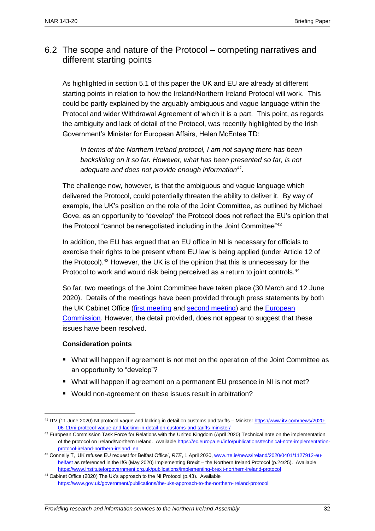## 6.2 The scope and nature of the Protocol – competing narratives and different starting points

As highlighted in section 5.1 of this paper the UK and EU are already at different starting points in relation to how the Ireland/Northern Ireland Protocol will work. This could be partly explained by the arguably ambiguous and vague language within the Protocol and wider Withdrawal Agreement of which it is a part. This point, as regards the ambiguity and lack of detail of the Protocol, was recently highlighted by the Irish Government's Minister for European Affairs, Helen McEntee TD:

*In terms of the Northern Ireland protocol, I am not saying there has been backsliding on it so far. However, what has been presented so far, is not adequate and does not provide enough information<sup>41</sup> .* 

The challenge now, however, is that the ambiguous and vague language which delivered the Protocol, could potentially threaten the ability to deliver it. By way of example, the UK's position on the role of the Joint Committee, as outlined by Michael Gove, as an opportunity to "develop" the Protocol does not reflect the EU's opinion that the Protocol "cannot be renegotiated including in the Joint Committee"<sup>42</sup>

In addition, the EU has argued that an EU office in NI is necessary for officials to exercise their rights to be present where EU law is being applied (under Article 12 of the Protocol).<sup>43</sup> However, the UK is of the opinion that this is unnecessary for the Protocol to work and would risk being perceived as a return to joint controls.<sup>44</sup>

So far, two meetings of the Joint Committee have taken place (30 March and 12 June 2020). Details of the meetings have been provided through press statements by both the UK Cabinet Office [\(first meeting](https://www.gov.uk/government/news/first-meeting-of-the-withdrawal-agreement-joint-committee) and [second meeting\)](https://www.gov.uk/government/news/second-meeting-of-the-withdrawal-agreement-joint-committee) and the [European](https://ec.europa.eu/info/european-union-and-united-kingdom-forging-new-partnership/eu-uk-withdrawal-agreement/meetings-eu-uk-joint-and-specialised-committees-under-withdrawal-agreement_en)  [Commission.](https://ec.europa.eu/info/european-union-and-united-kingdom-forging-new-partnership/eu-uk-withdrawal-agreement/meetings-eu-uk-joint-and-specialised-committees-under-withdrawal-agreement_en) However, the detail provided, does not appear to suggest that these issues have been resolved.

#### **Consideration points**

- What will happen if agreement is not met on the operation of the Joint Committee as an opportunity to "develop"?
- What will happen if agreement on a permanent EU presence in NI is not met?
- Would non-agreement on these issues result in arbitration?

<sup>&</sup>lt;sup>41</sup> ITV (11 June 2020) NI protocol vague and lacking in detail on customs and tariffs – Ministe[r https://www.itv.com/news/2020-](https://www.itv.com/news/2020-06-11/ni-protocol-vague-and-lacking-in-detail-on-customs-and-tariffs-minister/) [06-11/ni-protocol-vague-and-lacking-in-detail-on-customs-and-tariffs-minister/](https://www.itv.com/news/2020-06-11/ni-protocol-vague-and-lacking-in-detail-on-customs-and-tariffs-minister/)

 $42$  European Commission Task Force for Relations with the United Kingdom (April 2020) Technical note on the implementation of the protocol on Ireland/Northern Ireland. Availabl[e https://ec.europa.eu/info/publications/technical-note-implementation](https://ec.europa.eu/info/publications/technical-note-implementation-protocol-ireland-northern-ireland_en)[protocol-ireland-northern-ireland\\_en](https://ec.europa.eu/info/publications/technical-note-implementation-protocol-ireland-northern-ireland_en)

<sup>43</sup> Connelly T, 'UK refuses EU request for Belfast Office', *RTÉ*, 1 April 2020, [www.rte.ie/news/ireland/2020/0401/1127912-eu](http://www.rte.ie/news/ireland/2020/0401/1127912-eu-belfast)[belfast](http://www.rte.ie/news/ireland/2020/0401/1127912-eu-belfast) as referenced in the IfG (May 2020) Implementing Brexit – the Northern Ireland Protocol (p.24/25). Available <https://www.instituteforgovernment.org.uk/publications/implementing-brexit-northern-ireland-protocol>

<sup>44</sup> Cabinet Office (2020) The Uk's approach to the NI Protocol (p.43). Available <https://www.gov.uk/government/publications/the-uks-approach-to-the-northern-ireland-protocol>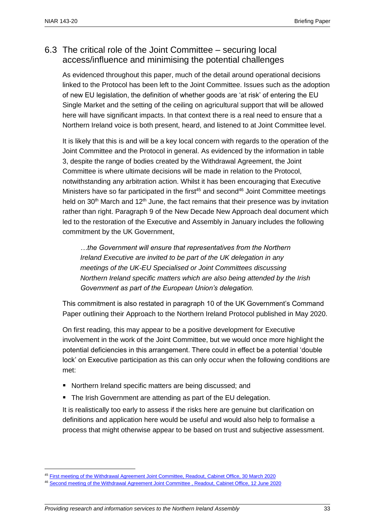## 6.3 The critical role of the Joint Committee – securing local access/influence and minimising the potential challenges

As evidenced throughout this paper, much of the detail around operational decisions linked to the Protocol has been left to the Joint Committee. Issues such as the adoption of new EU legislation, the definition of whether goods are 'at risk' of entering the EU Single Market and the setting of the ceiling on agricultural support that will be allowed here will have significant impacts. In that context there is a real need to ensure that a Northern Ireland voice is both present, heard, and listened to at Joint Committee level.

It is likely that this is and will be a key local concern with regards to the operation of the Joint Committee and the Protocol in general. As evidenced by the information in table 3, despite the range of bodies created by the Withdrawal Agreement, the Joint Committee is where ultimate decisions will be made in relation to the Protocol, notwithstanding any arbitration action. Whilst it has been encouraging that Executive Ministers have so far participated in the first<sup>45</sup> and second<sup>46</sup> Joint Committee meetings held on  $30<sup>th</sup>$  March and  $12<sup>th</sup>$  June, the fact remains that their presence was by invitation rather than right. Paragraph 9 of the New Decade New Approach deal document which led to the restoration of the Executive and Assembly in January includes the following commitment by the UK Government,

*…the Government will ensure that representatives from the Northern Ireland Executive are invited to be part of the UK delegation in any meetings of the UK-EU Specialised or Joint Committees discussing Northern Ireland specific matters which are also being attended by the Irish Government as part of the European Union's delegation.*

This commitment is also restated in paragraph 10 of the UK Government's Command Paper outlining their Approach to the Northern Ireland Protocol published in May 2020.

On first reading, this may appear to be a positive development for Executive involvement in the work of the Joint Committee, but we would once more highlight the potential deficiencies in this arrangement. There could in effect be a potential 'double lock' on Executive participation as this can only occur when the following conditions are met:

- Northern Ireland specific matters are being discussed; and
- The Irish Government are attending as part of the EU delegation.

It is realistically too early to assess if the risks here are genuine but clarification on definitions and application here would be useful and would also help to formalise a process that might otherwise appear to be based on trust and subjective assessment.

<sup>45</sup> [First meeting of the Withdrawal Agreement Joint Committee, Readout, Cabinet Office, 30 March 2020](https://www.gov.uk/government/news/first-meeting-of-the-withdrawal-agreement-joint-committee)

<sup>46</sup> [Second meeting of the Withdrawal Agreement Joint Committee , Readout, Cabinet Office, 12 June 2020](https://www.gov.uk/government/news/second-meeting-of-the-withdrawal-agreement-joint-committee)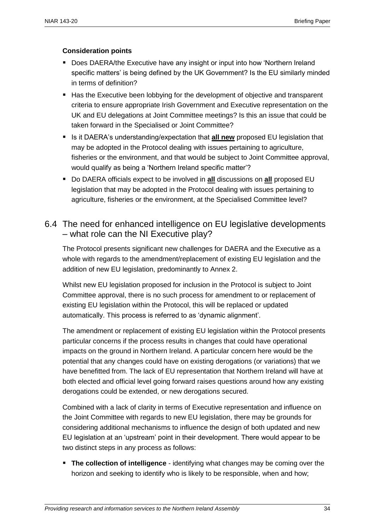#### **Consideration points**

- Does DAERA/the Executive have any insight or input into how 'Northern Ireland specific matters' is being defined by the UK Government? Is the EU similarly minded in terms of definition?
- Has the Executive been lobbying for the development of objective and transparent criteria to ensure appropriate Irish Government and Executive representation on the UK and EU delegations at Joint Committee meetings? Is this an issue that could be taken forward in the Specialised or Joint Committee?
- Is it DAERA's understanding/expectation that **all new** proposed EU legislation that may be adopted in the Protocol dealing with issues pertaining to agriculture, fisheries or the environment, and that would be subject to Joint Committee approval, would qualify as being a 'Northern Ireland specific matter'?
- Do DAERA officials expect to be involved in all discussions on all proposed EU legislation that may be adopted in the Protocol dealing with issues pertaining to agriculture, fisheries or the environment, at the Specialised Committee level?

## 6.4 The need for enhanced intelligence on EU legislative developments – what role can the NI Executive play?

The Protocol presents significant new challenges for DAERA and the Executive as a whole with regards to the amendment/replacement of existing EU legislation and the addition of new EU legislation, predominantly to Annex 2.

Whilst new EU legislation proposed for inclusion in the Protocol is subject to Joint Committee approval, there is no such process for amendment to or replacement of existing EU legislation within the Protocol, this will be replaced or updated automatically. This process is referred to as 'dynamic alignment'.

The amendment or replacement of existing EU legislation within the Protocol presents particular concerns if the process results in changes that could have operational impacts on the ground in Northern Ireland. A particular concern here would be the potential that any changes could have on existing derogations (or variations) that we have benefitted from. The lack of EU representation that Northern Ireland will have at both elected and official level going forward raises questions around how any existing derogations could be extended, or new derogations secured.

Combined with a lack of clarity in terms of Executive representation and influence on the Joint Committee with regards to new EU legislation, there may be grounds for considering additional mechanisms to influence the design of both updated and new EU legislation at an 'upstream' point in their development. There would appear to be two distinct steps in any process as follows:

 **The collection of intelligence** - identifying what changes may be coming over the horizon and seeking to identify who is likely to be responsible, when and how;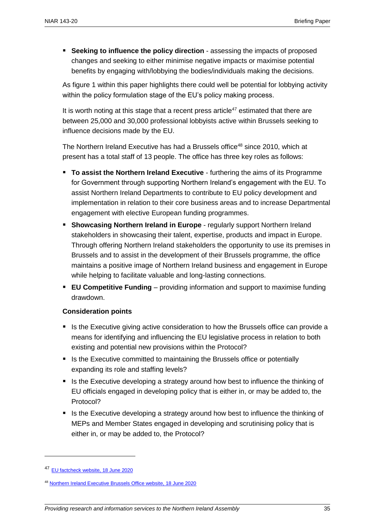**Seeking to influence the policy direction** - assessing the impacts of proposed changes and seeking to either minimise negative impacts or maximise potential benefits by engaging with/lobbying the bodies/individuals making the decisions.

As figure 1 within this paper highlights there could well be potential for lobbying activity within the policy formulation stage of the EU's policy making process.

It is worth noting at this stage that a recent press article<sup>47</sup> estimated that there are between 25,000 and 30,000 professional lobbyists active within Brussels seeking to influence decisions made by the EU.

The Northern Ireland Executive has had a Brussels office<sup>48</sup> since 2010, which at present has a total staff of 13 people. The office has three key roles as follows:

- **To assist the Northern Ireland Executive** furthering the aims of its Programme for Government through supporting Northern Ireland's engagement with the EU. To assist Northern Ireland Departments to contribute to EU policy development and implementation in relation to their core business areas and to increase Departmental engagement with elective European funding programmes.
- **Showcasing Northern Ireland in Europe** regularly support Northern Ireland stakeholders in showcasing their talent, expertise, products and impact in Europe. Through offering Northern Ireland stakeholders the opportunity to use its premises in Brussels and to assist in the development of their Brussels programme, the office maintains a positive image of Northern Ireland business and engagement in Europe while helping to facilitate valuable and long-lasting connections.
- **EU Competitive Funding** providing information and support to maximise funding drawdown.

#### **Consideration points**

- Is the Executive giving active consideration to how the Brussels office can provide a means for identifying and influencing the EU legislative process in relation to both existing and potential new provisions within the Protocol?
- Is the Executive committed to maintaining the Brussels office or potentially expanding its role and staffing levels?
- Is the Executive developing a strategy around how best to influence the thinking of EU officials engaged in developing policy that is either in, or may be added to, the Protocol?
- Is the Executive developing a strategy around how best to influence the thinking of MEPs and Member States engaged in developing and scrutinising policy that is either in, or may be added to, the Protocol?

<sup>47</sup> [EU factcheck website, 18 June 2020](https://eufactcheck.eu/factcheck/mostly-true-between-25-000-to-30-000-lobbyists-are-working-in-brussels/) 

<sup>48</sup> Northern [Ireland Executive Brussels Office website, 18 June 2020](https://brusselsni.com/)